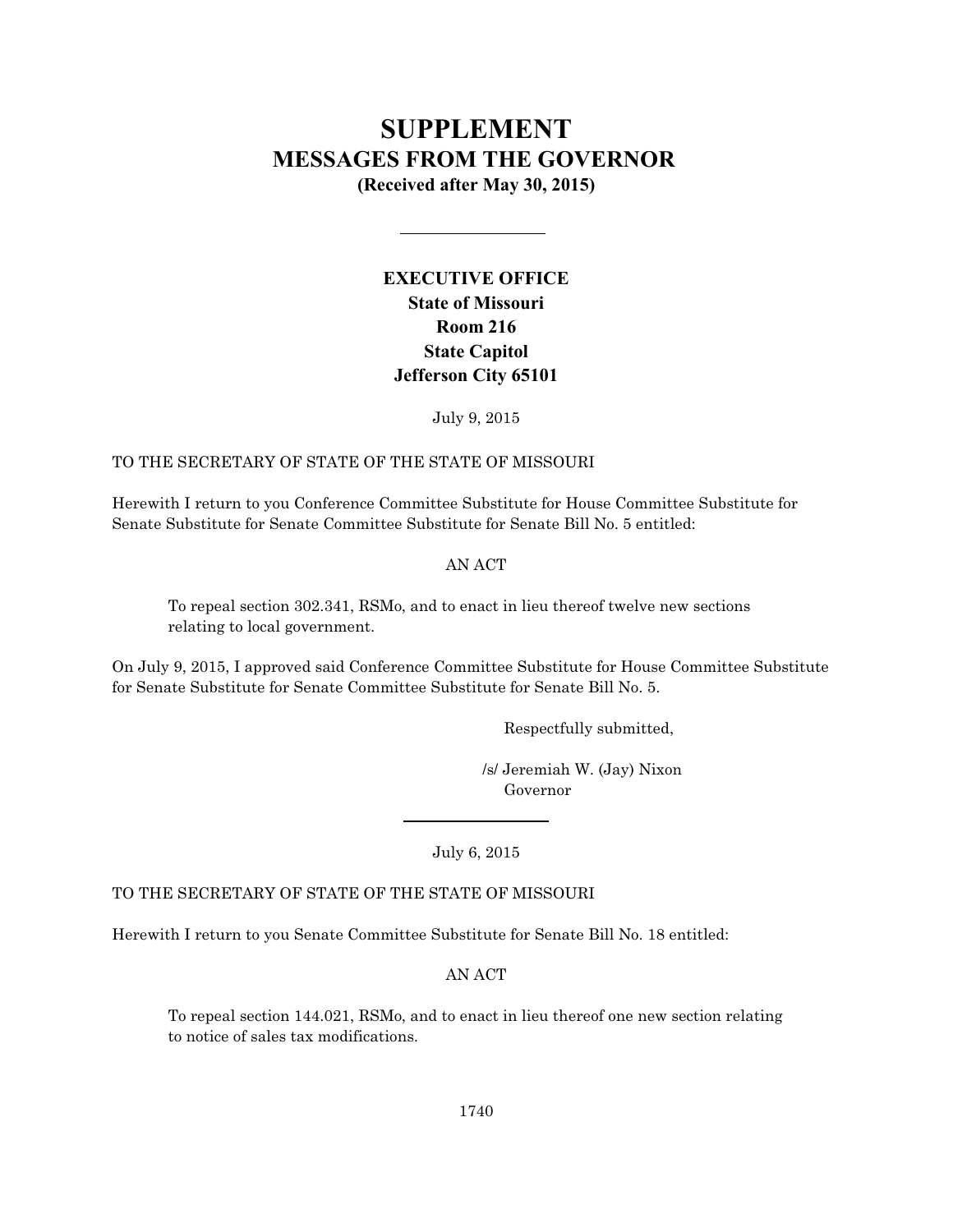# **SUPPLEMENT MESSAGES FROM THE GOVERNOR**

**(Received after May 30, 2015)**

# **EXECUTIVE OFFICE State of Missouri Room 216 State Capitol Jefferson City 65101**

July 9, 2015

## TO THE SECRETARY OF STATE OF THE STATE OF MISSOURI

Herewith I return to you Conference Committee Substitute for House Committee Substitute for Senate Substitute for Senate Committee Substitute for Senate Bill No. 5 entitled:

## AN ACT

To repeal section 302.341, RSMo, and to enact in lieu thereof twelve new sections relating to local government.

On July 9, 2015, I approved said Conference Committee Substitute for House Committee Substitute for Senate Substitute for Senate Committee Substitute for Senate Bill No. 5.

Respectfully submitted,

 /s/ Jeremiah W. (Jay) Nixon Governor

July 6, 2015

TO THE SECRETARY OF STATE OF THE STATE OF MISSOURI

Herewith I return to you Senate Committee Substitute for Senate Bill No. 18 entitled:

AN ACT

To repeal section 144.021, RSMo, and to enact in lieu thereof one new section relating to notice of sales tax modifications.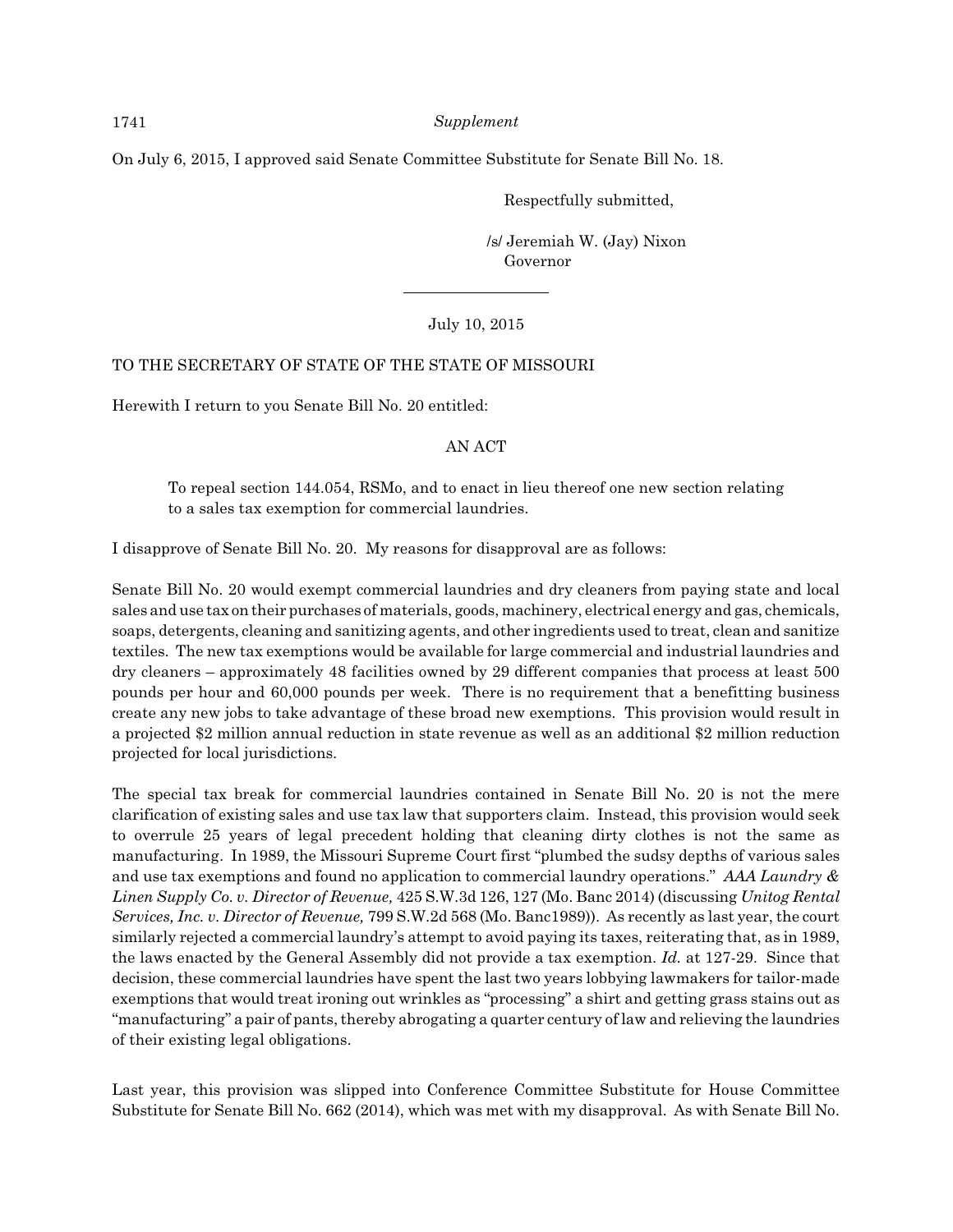On July 6, 2015, I approved said Senate Committee Substitute for Senate Bill No. 18.

Respectfully submitted,

 /s/ Jeremiah W. (Jay) Nixon Governor

## July 10, 2015

## TO THE SECRETARY OF STATE OF THE STATE OF MISSOURI

Herewith I return to you Senate Bill No. 20 entitled:

#### AN ACT

To repeal section 144.054, RSMo, and to enact in lieu thereof one new section relating to a sales tax exemption for commercial laundries.

I disapprove of Senate Bill No. 20. My reasons for disapproval are as follows:

Senate Bill No. 20 would exempt commercial laundries and dry cleaners from paying state and local sales and use tax on their purchases of materials, goods, machinery, electrical energy and gas, chemicals, soaps, detergents, cleaning and sanitizing agents, and other ingredients used to treat, clean and sanitize textiles. The new tax exemptions would be available for large commercial and industrial laundries and dry cleaners – approximately 48 facilities owned by 29 different companies that process at least 500 pounds per hour and 60,000 pounds per week. There is no requirement that a benefitting business create any new jobs to take advantage of these broad new exemptions. This provision would result in a projected \$2 million annual reduction in state revenue as well as an additional \$2 million reduction projected for local jurisdictions.

The special tax break for commercial laundries contained in Senate Bill No. 20 is not the mere clarification of existing sales and use tax law that supporters claim. Instead, this provision would seek to overrule 25 years of legal precedent holding that cleaning dirty clothes is not the same as manufacturing. In 1989, the Missouri Supreme Court first "plumbed the sudsy depths of various sales and use tax exemptions and found no application to commercial laundry operations." *AAA Laundry & Linen Supply Co. v. Director of Revenue,* 425 S.W.3d 126, 127 (Mo. Banc 2014) (discussing *Unitog Rental Services, Inc. v. Director of Revenue,* 799 S.W.2d 568 (Mo. Banc1989)). As recently as last year, the court similarly rejected a commercial laundry's attempt to avoid paying its taxes, reiterating that, as in 1989, the laws enacted by the General Assembly did not provide a tax exemption. *Id.* at 127-29. Since that decision, these commercial laundries have spent the last two years lobbying lawmakers for tailor-made exemptions that would treat ironing out wrinkles as "processing" a shirt and getting grass stains out as "manufacturing" a pair of pants, thereby abrogating a quarter century of law and relieving the laundries of their existing legal obligations.

Last year, this provision was slipped into Conference Committee Substitute for House Committee Substitute for Senate Bill No. 662 (2014), which was met with my disapproval. As with Senate Bill No.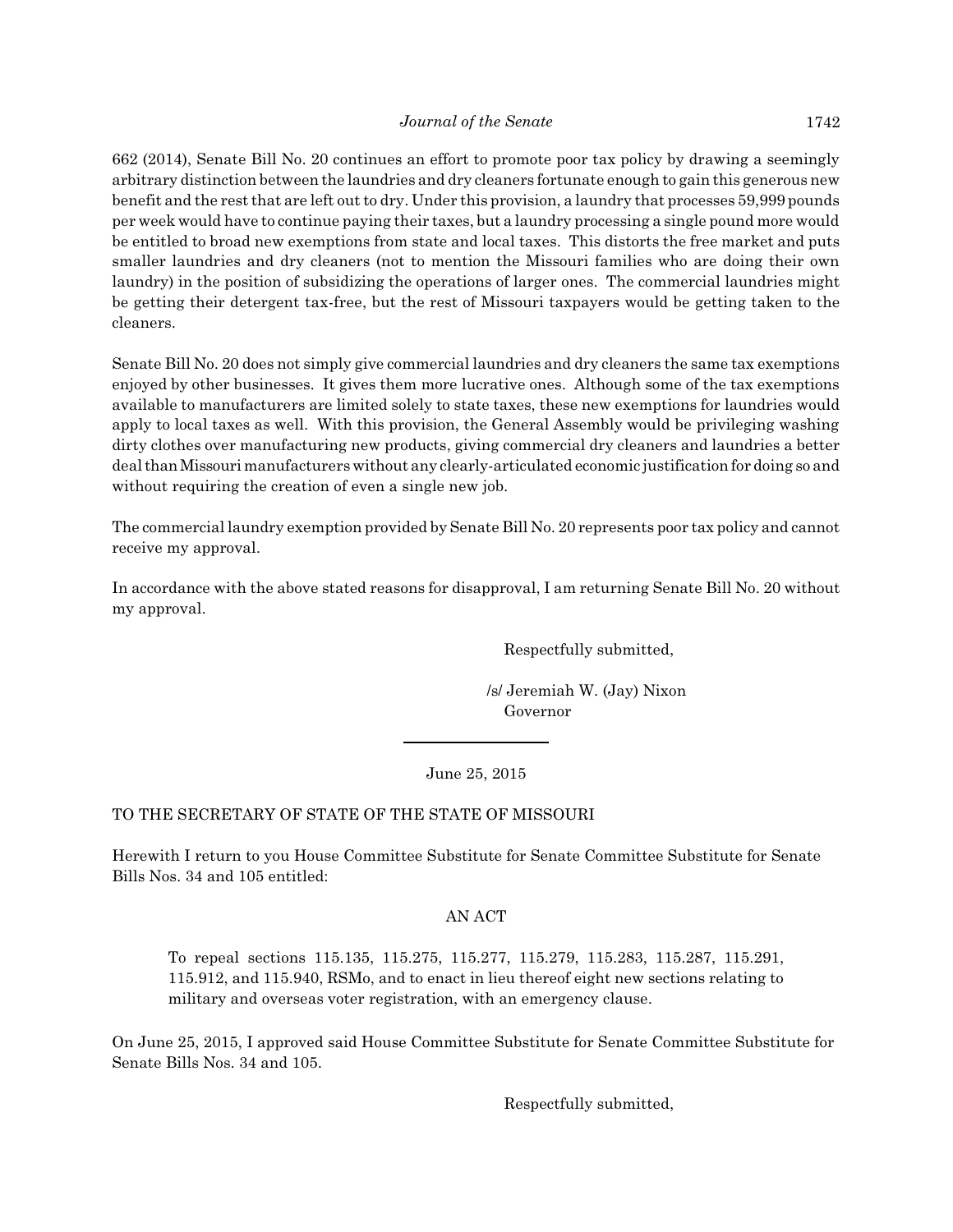662 (2014), Senate Bill No. 20 continues an effort to promote poor tax policy by drawing a seemingly arbitrary distinction between the laundries and dry cleaners fortunate enough to gain this generous new benefit and the rest that are left out to dry. Under this provision, a laundry that processes 59,999 pounds per week would have to continue paying their taxes, but a laundry processing a single pound more would be entitled to broad new exemptions from state and local taxes. This distorts the free market and puts smaller laundries and dry cleaners (not to mention the Missouri families who are doing their own laundry) in the position of subsidizing the operations of larger ones. The commercial laundries might be getting their detergent tax-free, but the rest of Missouri taxpayers would be getting taken to the cleaners.

Senate Bill No. 20 does not simply give commercial laundries and dry cleaners the same tax exemptions enjoyed by other businesses. It gives them more lucrative ones. Although some of the tax exemptions available to manufacturers are limited solely to state taxes, these new exemptions for laundries would apply to local taxes as well. With this provision, the General Assembly would be privileging washing dirty clothes over manufacturing new products, giving commercial dry cleaners and laundries a better deal thanMissouri manufacturerswithout any clearly-articulated economic justification for doing so and without requiring the creation of even a single new job.

The commercial laundry exemption provided by Senate Bill No. 20 represents poor tax policy and cannot receive my approval.

In accordance with the above stated reasons for disapproval, I am returning Senate Bill No. 20 without my approval.

Respectfully submitted,

 /s/ Jeremiah W. (Jay) Nixon Governor

## June 25, 2015

## TO THE SECRETARY OF STATE OF THE STATE OF MISSOURI

Herewith I return to you House Committee Substitute for Senate Committee Substitute for Senate Bills Nos. 34 and 105 entitled:

#### AN ACT

To repeal sections 115.135, 115.275, 115.277, 115.279, 115.283, 115.287, 115.291, 115.912, and 115.940, RSMo, and to enact in lieu thereof eight new sections relating to military and overseas voter registration, with an emergency clause.

On June 25, 2015, I approved said House Committee Substitute for Senate Committee Substitute for Senate Bills Nos. 34 and 105.

Respectfully submitted,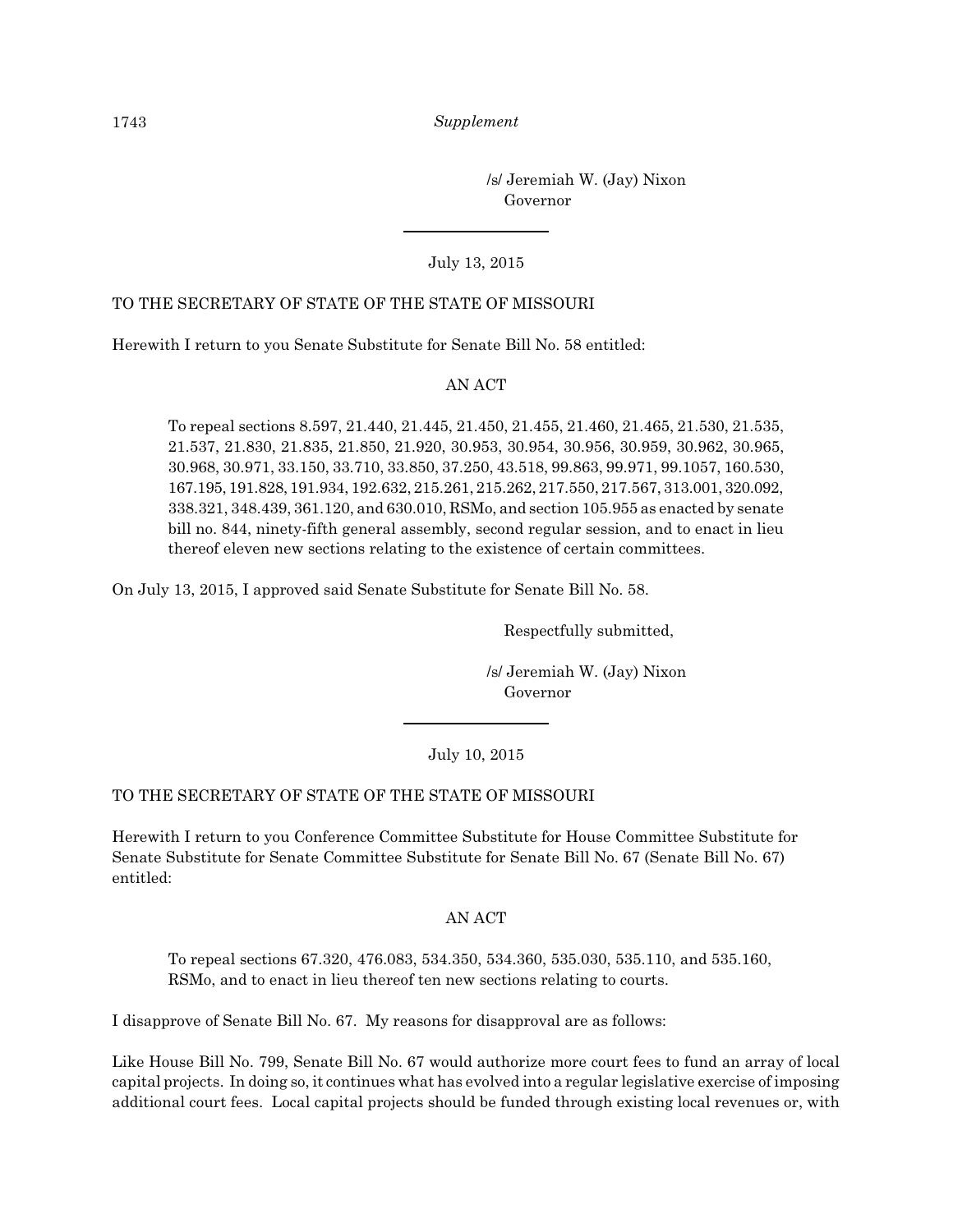/s/ Jeremiah W. (Jay) Nixon Governor

#### July 13, 2015

### TO THE SECRETARY OF STATE OF THE STATE OF MISSOURI

Herewith I return to you Senate Substitute for Senate Bill No. 58 entitled:

#### AN ACT

To repeal sections 8.597, 21.440, 21.445, 21.450, 21.455, 21.460, 21.465, 21.530, 21.535, 21.537, 21.830, 21.835, 21.850, 21.920, 30.953, 30.954, 30.956, 30.959, 30.962, 30.965, 30.968, 30.971, 33.150, 33.710, 33.850, 37.250, 43.518, 99.863, 99.971, 99.1057, 160.530, 167.195, 191.828, 191.934, 192.632, 215.261, 215.262, 217.550, 217.567, 313.001, 320.092, 338.321, 348.439, 361.120, and 630.010, RSMo, and section 105.955 as enacted by senate bill no. 844, ninety-fifth general assembly, second regular session, and to enact in lieu thereof eleven new sections relating to the existence of certain committees.

On July 13, 2015, I approved said Senate Substitute for Senate Bill No. 58.

Respectfully submitted,

 /s/ Jeremiah W. (Jay) Nixon Governor

July 10, 2015

#### TO THE SECRETARY OF STATE OF THE STATE OF MISSOURI

Herewith I return to you Conference Committee Substitute for House Committee Substitute for Senate Substitute for Senate Committee Substitute for Senate Bill No. 67 (Senate Bill No. 67) entitled:

#### AN ACT

To repeal sections 67.320, 476.083, 534.350, 534.360, 535.030, 535.110, and 535.160, RSMo, and to enact in lieu thereof ten new sections relating to courts.

I disapprove of Senate Bill No. 67. My reasons for disapproval are as follows:

Like House Bill No. 799, Senate Bill No. 67 would authorize more court fees to fund an array of local capital projects. In doing so, it continues what has evolved into a regular legislative exercise of imposing additional court fees. Local capital projects should be funded through existing local revenues or, with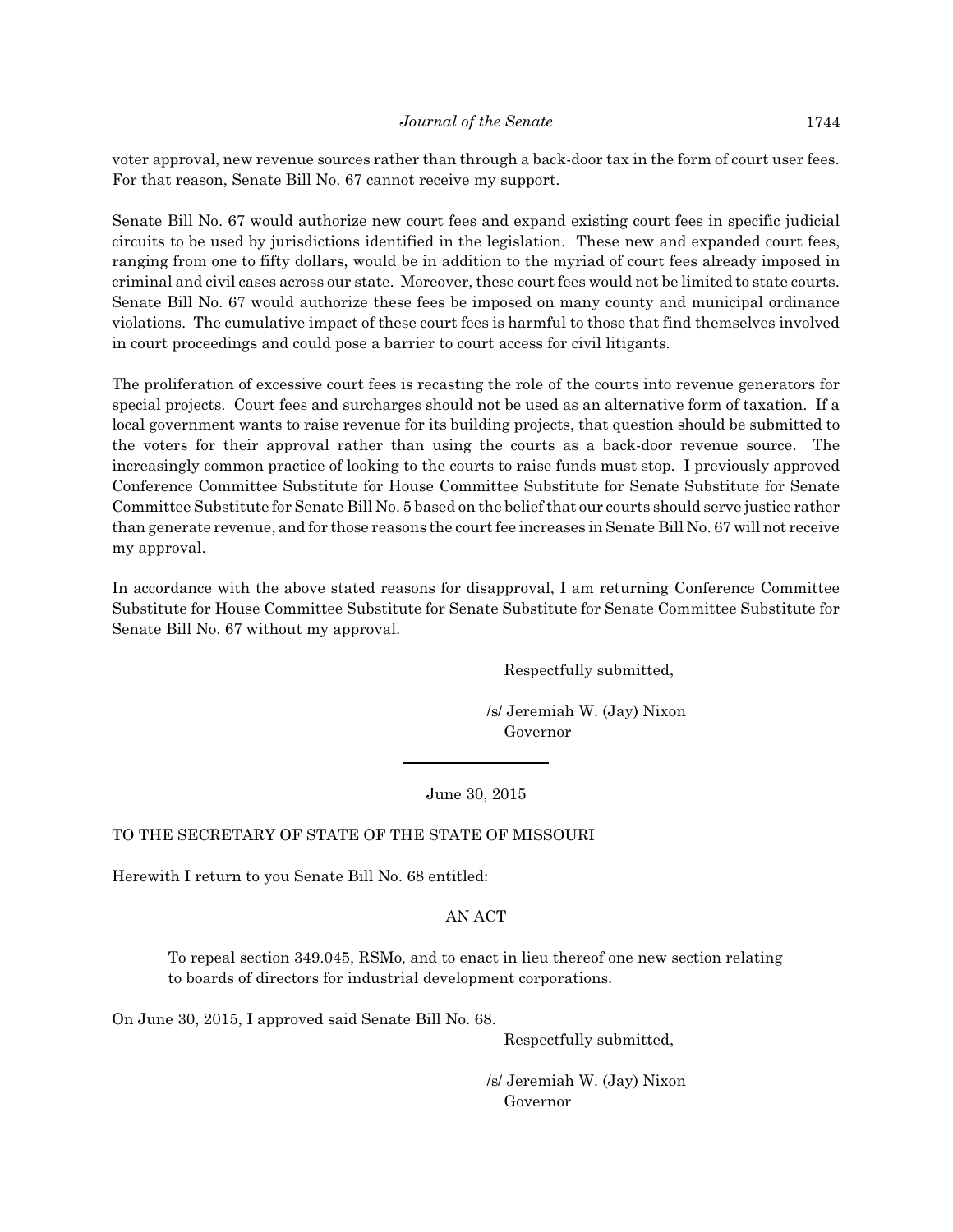voter approval, new revenue sources rather than through a back-door tax in the form of court user fees. For that reason, Senate Bill No. 67 cannot receive my support.

Senate Bill No. 67 would authorize new court fees and expand existing court fees in specific judicial circuits to be used by jurisdictions identified in the legislation. These new and expanded court fees, ranging from one to fifty dollars, would be in addition to the myriad of court fees already imposed in criminal and civil cases across our state. Moreover, these court fees would not be limited to state courts. Senate Bill No. 67 would authorize these fees be imposed on many county and municipal ordinance violations. The cumulative impact of these court fees is harmful to those that find themselves involved in court proceedings and could pose a barrier to court access for civil litigants.

The proliferation of excessive court fees is recasting the role of the courts into revenue generators for special projects. Court fees and surcharges should not be used as an alternative form of taxation. If a local government wants to raise revenue for its building projects, that question should be submitted to the voters for their approval rather than using the courts as a back-door revenue source. The increasingly common practice of looking to the courts to raise funds must stop. I previously approved Conference Committee Substitute for House Committee Substitute for Senate Substitute for Senate Committee Substitute for Senate Bill No. 5 based on the belief that our courts should serve justice rather than generate revenue, and for those reasons the court fee increases in Senate Bill No. 67 will not receive my approval.

In accordance with the above stated reasons for disapproval, I am returning Conference Committee Substitute for House Committee Substitute for Senate Substitute for Senate Committee Substitute for Senate Bill No. 67 without my approval.

Respectfully submitted,

 /s/ Jeremiah W. (Jay) Nixon Governor

June 30, 2015

#### TO THE SECRETARY OF STATE OF THE STATE OF MISSOURI

Herewith I return to you Senate Bill No. 68 entitled:

#### AN ACT

To repeal section 349.045, RSMo, and to enact in lieu thereof one new section relating to boards of directors for industrial development corporations.

On June 30, 2015, I approved said Senate Bill No. 68.

Respectfully submitted,

 /s/ Jeremiah W. (Jay) Nixon Governor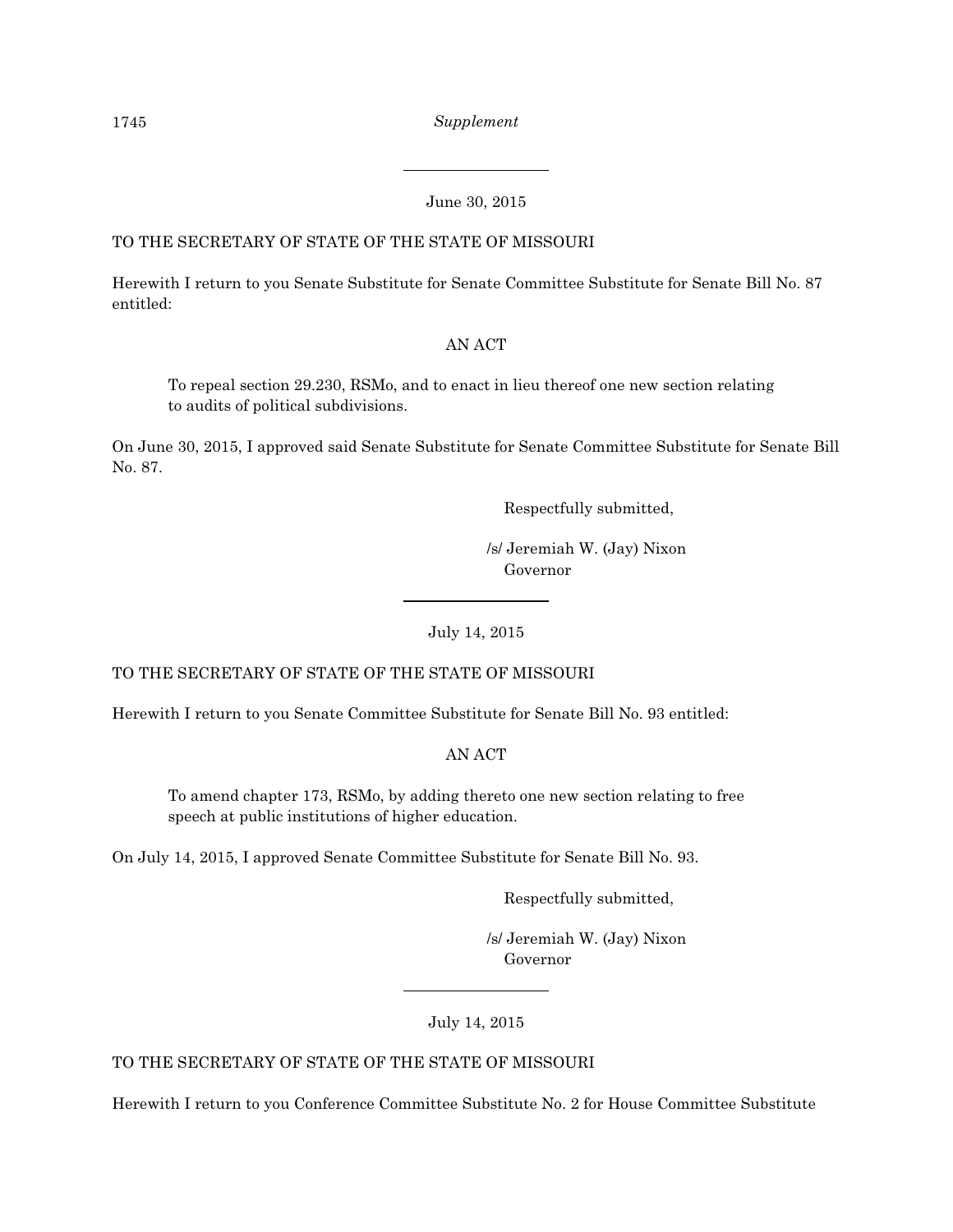## June 30, 2015

## TO THE SECRETARY OF STATE OF THE STATE OF MISSOURI

Herewith I return to you Senate Substitute for Senate Committee Substitute for Senate Bill No. 87 entitled:

## AN ACT

To repeal section 29.230, RSMo, and to enact in lieu thereof one new section relating to audits of political subdivisions.

On June 30, 2015, I approved said Senate Substitute for Senate Committee Substitute for Senate Bill No. 87.

Respectfully submitted,

 /s/ Jeremiah W. (Jay) Nixon Governor

July 14, 2015

TO THE SECRETARY OF STATE OF THE STATE OF MISSOURI

Herewith I return to you Senate Committee Substitute for Senate Bill No. 93 entitled:

AN ACT

To amend chapter 173, RSMo, by adding thereto one new section relating to free speech at public institutions of higher education.

On July 14, 2015, I approved Senate Committee Substitute for Senate Bill No. 93.

Respectfully submitted,

 /s/ Jeremiah W. (Jay) Nixon Governor

July 14, 2015

TO THE SECRETARY OF STATE OF THE STATE OF MISSOURI

Herewith I return to you Conference Committee Substitute No. 2 for House Committee Substitute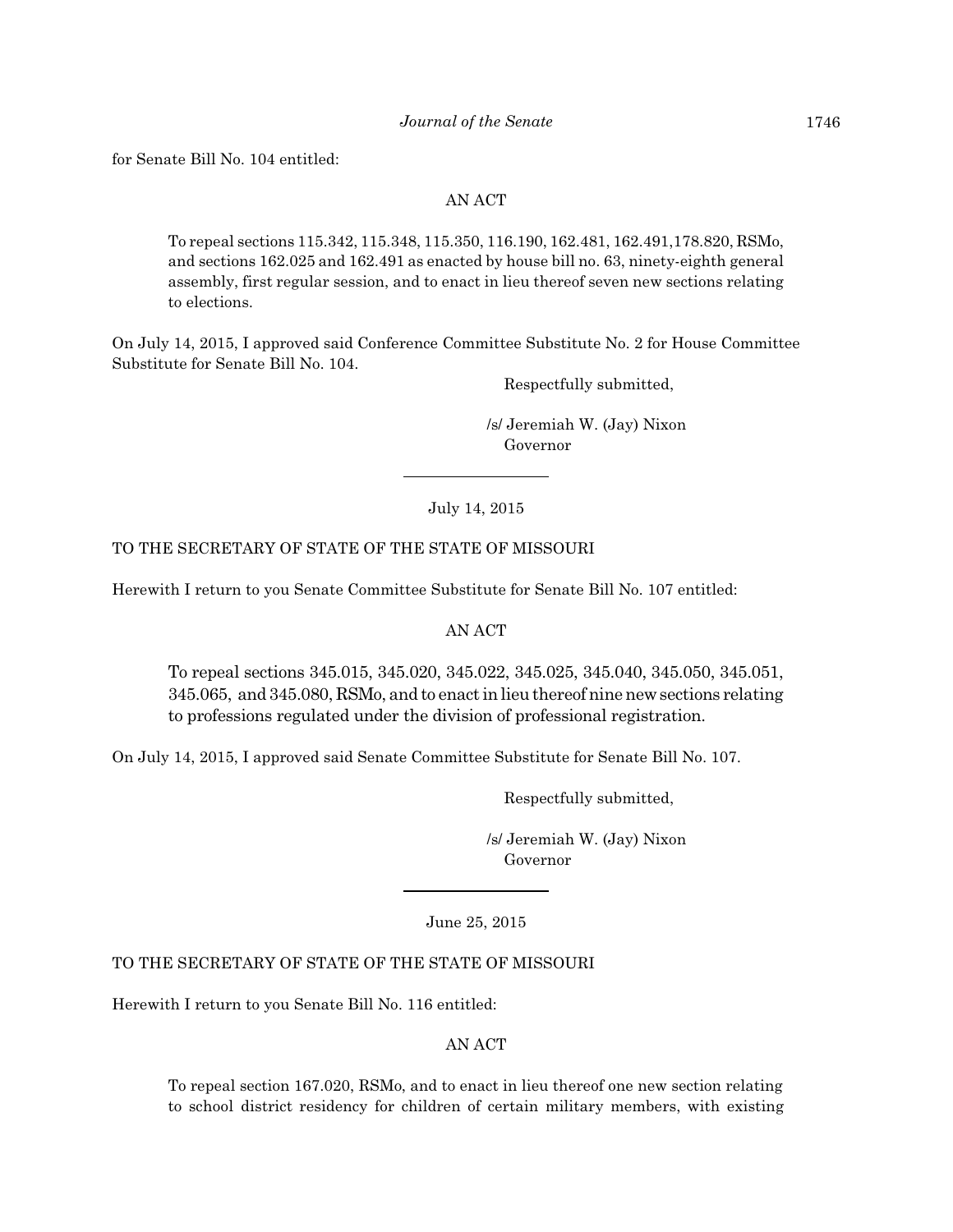for Senate Bill No. 104 entitled:

#### AN ACT

To repeal sections 115.342, 115.348, 115.350, 116.190, 162.481, 162.491,178.820, RSMo, and sections 162.025 and 162.491 as enacted by house bill no. 63, ninety-eighth general assembly, first regular session, and to enact in lieu thereof seven new sections relating to elections.

On July 14, 2015, I approved said Conference Committee Substitute No. 2 for House Committee Substitute for Senate Bill No. 104.

Respectfully submitted,

 /s/ Jeremiah W. (Jay) Nixon Governor

July 14, 2015

#### TO THE SECRETARY OF STATE OF THE STATE OF MISSOURI

Herewith I return to you Senate Committee Substitute for Senate Bill No. 107 entitled:

#### AN ACT

To repeal sections 345.015, 345.020, 345.022, 345.025, 345.040, 345.050, 345.051, 345.065, and 345.080, RSMo, and to enactinlieuthereof nine newsections relating to professions regulated under the division of professional registration.

On July 14, 2015, I approved said Senate Committee Substitute for Senate Bill No. 107.

Respectfully submitted,

 /s/ Jeremiah W. (Jay) Nixon Governor

June 25, 2015

## TO THE SECRETARY OF STATE OF THE STATE OF MISSOURI

Herewith I return to you Senate Bill No. 116 entitled:

#### AN ACT

To repeal section 167.020, RSMo, and to enact in lieu thereof one new section relating to school district residency for children of certain military members, with existing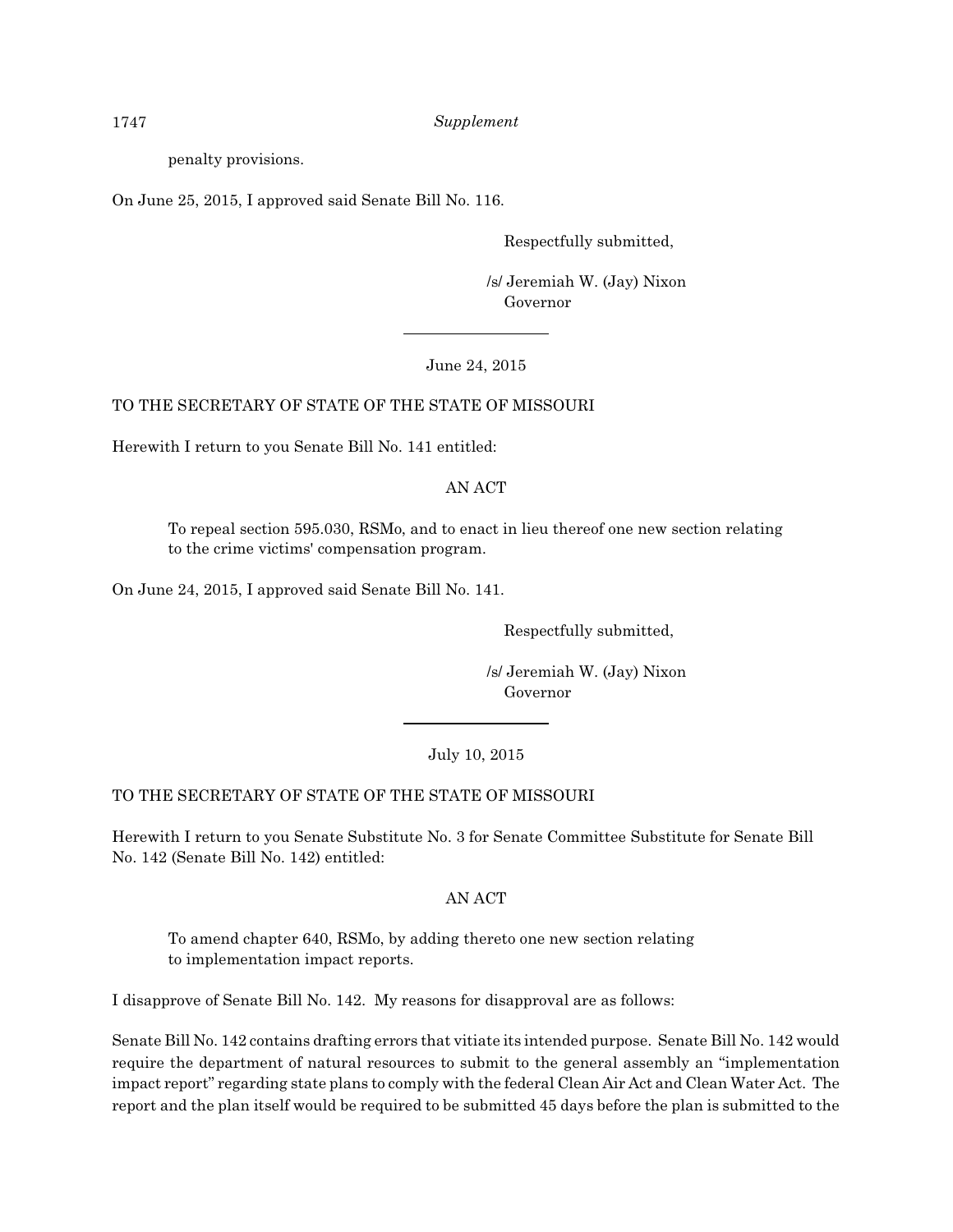penalty provisions.

On June 25, 2015, I approved said Senate Bill No. 116.

Respectfully submitted,

 /s/ Jeremiah W. (Jay) Nixon Governor

#### June 24, 2015

## TO THE SECRETARY OF STATE OF THE STATE OF MISSOURI

Herewith I return to you Senate Bill No. 141 entitled:

## AN ACT

To repeal section 595.030, RSMo, and to enact in lieu thereof one new section relating to the crime victims' compensation program.

On June 24, 2015, I approved said Senate Bill No. 141.

Respectfully submitted,

 /s/ Jeremiah W. (Jay) Nixon Governor

#### July 10, 2015

## TO THE SECRETARY OF STATE OF THE STATE OF MISSOURI

Herewith I return to you Senate Substitute No. 3 for Senate Committee Substitute for Senate Bill No. 142 (Senate Bill No. 142) entitled:

## AN ACT

To amend chapter 640, RSMo, by adding thereto one new section relating to implementation impact reports.

I disapprove of Senate Bill No. 142. My reasons for disapproval are as follows:

Senate Bill No. 142 contains drafting errors that vitiate its intended purpose. Senate Bill No. 142 would require the department of natural resources to submit to the general assembly an "implementation impact report" regarding state plans to comply with the federal Clean Air Act and Clean Water Act. The report and the plan itself would be required to be submitted 45 days before the plan is submitted to the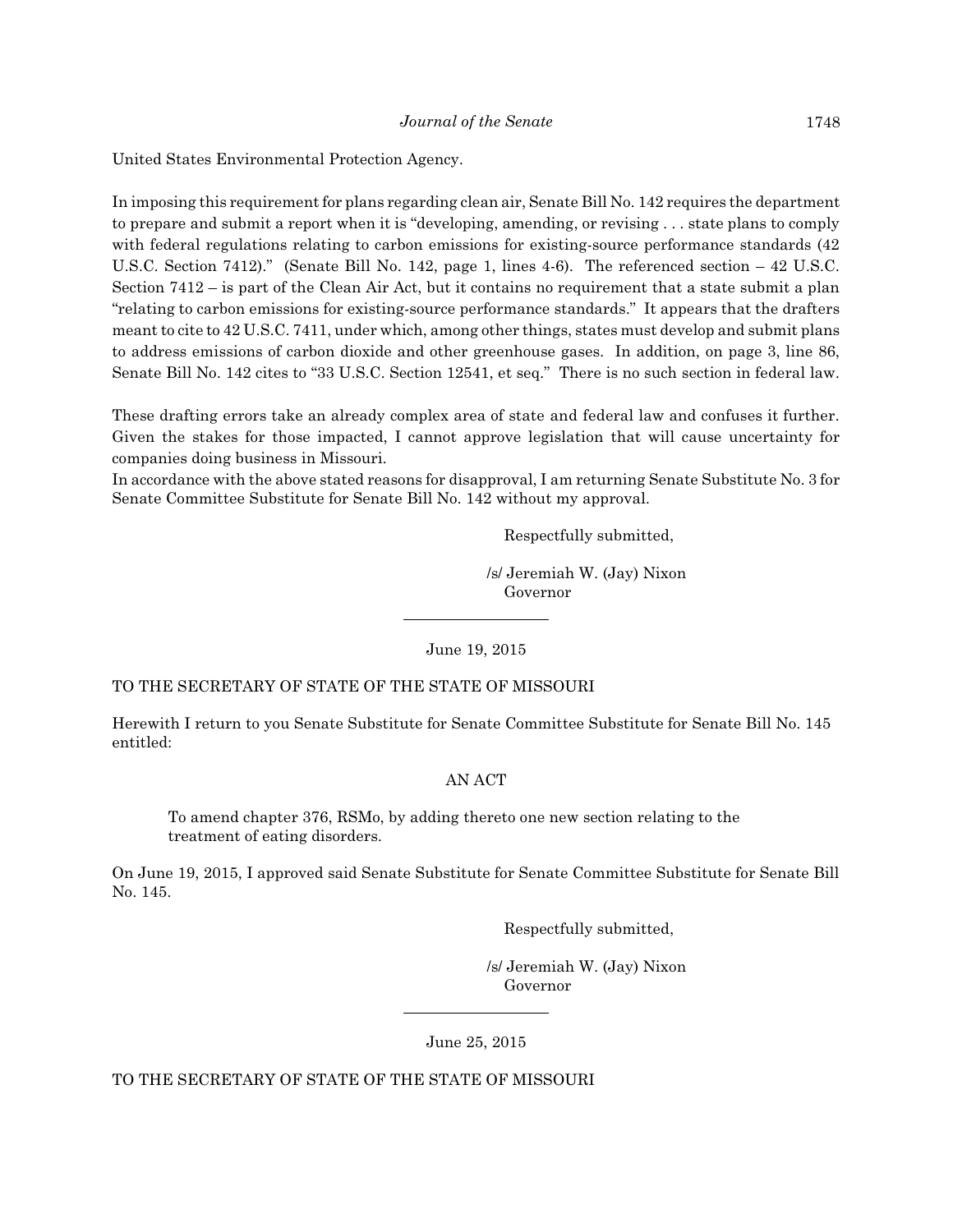United States Environmental Protection Agency.

In imposing this requirement for plans regarding clean air, Senate Bill No. 142 requires the department to prepare and submit a report when it is "developing, amending, or revising . . . state plans to comply with federal regulations relating to carbon emissions for existing-source performance standards (42 U.S.C. Section 7412)." (Senate Bill No. 142, page 1, lines 4-6). The referenced section – 42 U.S.C. Section 7412 – is part of the Clean Air Act, but it contains no requirement that a state submit a plan "relating to carbon emissions for existing-source performance standards." It appears that the drafters meant to cite to 42 U.S.C. 7411, under which, among other things, states must develop and submit plans to address emissions of carbon dioxide and other greenhouse gases. In addition, on page 3, line 86, Senate Bill No. 142 cites to "33 U.S.C. Section 12541, et seq." There is no such section in federal law.

These drafting errors take an already complex area of state and federal law and confuses it further. Given the stakes for those impacted, I cannot approve legislation that will cause uncertainty for companies doing business in Missouri.

In accordance with the above stated reasons for disapproval, I am returning Senate Substitute No. 3 for Senate Committee Substitute for Senate Bill No. 142 without my approval.

Respectfully submitted,

 /s/ Jeremiah W. (Jay) Nixon Governor

June 19, 2015

#### TO THE SECRETARY OF STATE OF THE STATE OF MISSOURI

Herewith I return to you Senate Substitute for Senate Committee Substitute for Senate Bill No. 145 entitled:

#### AN ACT

To amend chapter 376, RSMo, by adding thereto one new section relating to the treatment of eating disorders.

On June 19, 2015, I approved said Senate Substitute for Senate Committee Substitute for Senate Bill No. 145.

Respectfully submitted,

 /s/ Jeremiah W. (Jay) Nixon Governor

June 25, 2015

TO THE SECRETARY OF STATE OF THE STATE OF MISSOURI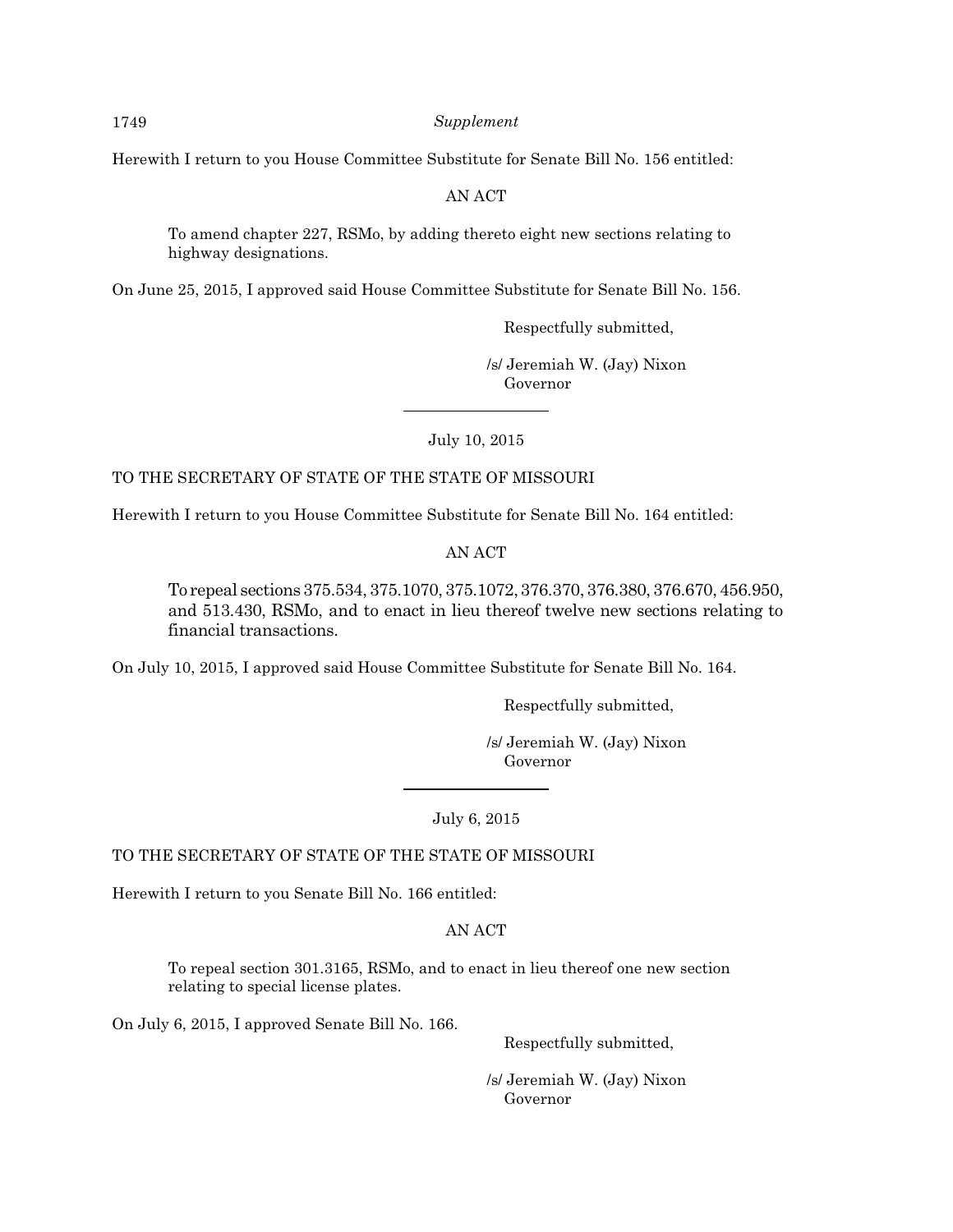Herewith I return to you House Committee Substitute for Senate Bill No. 156 entitled:

AN ACT

To amend chapter 227, RSMo, by adding thereto eight new sections relating to highway designations.

On June 25, 2015, I approved said House Committee Substitute for Senate Bill No. 156.

Respectfully submitted,

 /s/ Jeremiah W. (Jay) Nixon Governor

July 10, 2015

#### TO THE SECRETARY OF STATE OF THE STATE OF MISSOURI

Herewith I return to you House Committee Substitute for Senate Bill No. 164 entitled:

AN ACT

To repeal sections375.534,375.1070,375.1072,376.370,376.380,376.670,456.950, and 513.430, RSMo, and to enact in lieu thereof twelve new sections relating to financial transactions.

On July 10, 2015, I approved said House Committee Substitute for Senate Bill No. 164.

Respectfully submitted,

 /s/ Jeremiah W. (Jay) Nixon Governor

July 6, 2015

TO THE SECRETARY OF STATE OF THE STATE OF MISSOURI

Herewith I return to you Senate Bill No. 166 entitled:

AN ACT

To repeal section 301.3165, RSMo, and to enact in lieu thereof one new section relating to special license plates.

On July 6, 2015, I approved Senate Bill No. 166.

Respectfully submitted,

 /s/ Jeremiah W. (Jay) Nixon Governor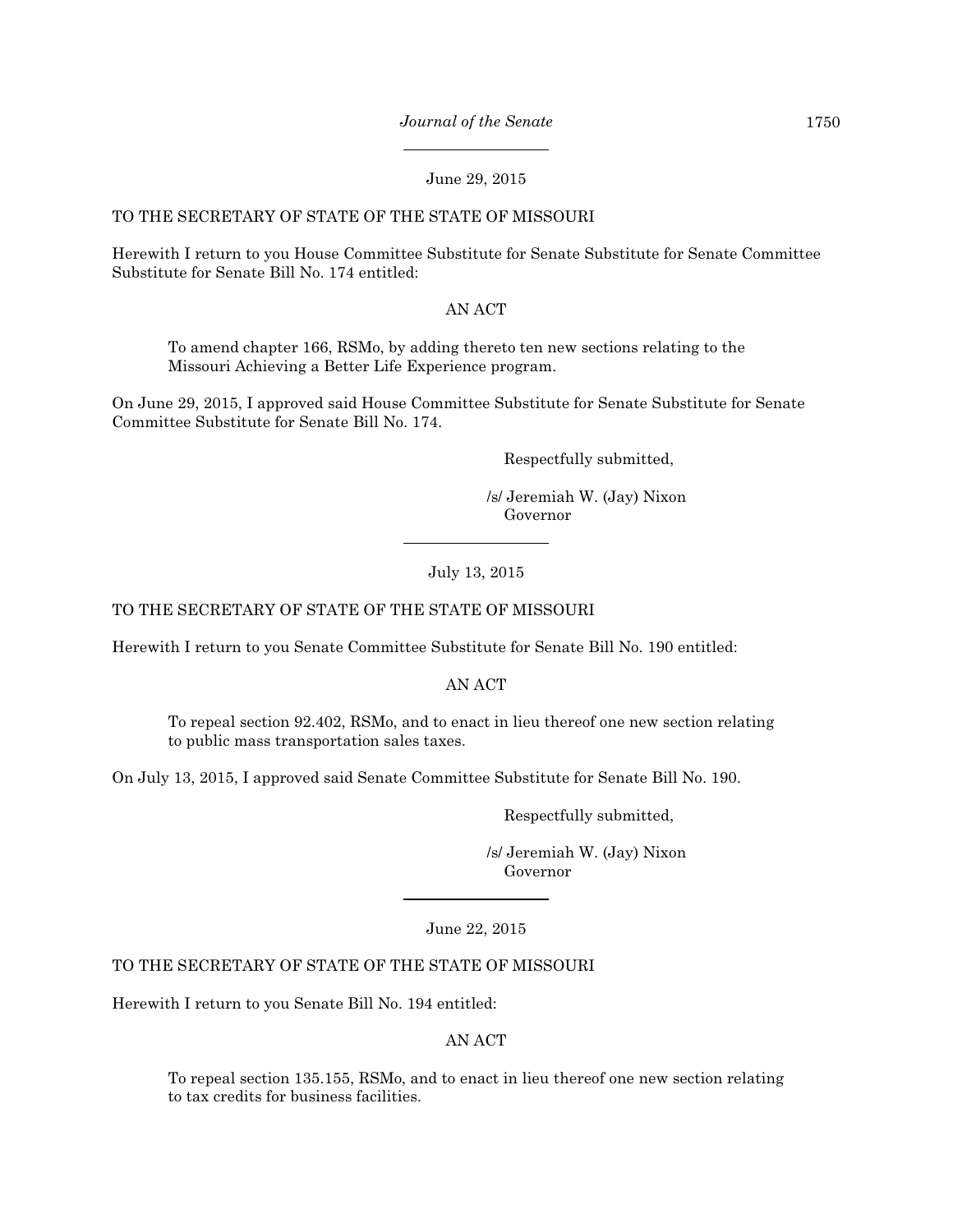#### June 29, 2015

#### TO THE SECRETARY OF STATE OF THE STATE OF MISSOURI

Herewith I return to you House Committee Substitute for Senate Substitute for Senate Committee Substitute for Senate Bill No. 174 entitled:

#### AN ACT

To amend chapter 166, RSMo, by adding thereto ten new sections relating to the Missouri Achieving a Better Life Experience program.

On June 29, 2015, I approved said House Committee Substitute for Senate Substitute for Senate Committee Substitute for Senate Bill No. 174.

Respectfully submitted,

 /s/ Jeremiah W. (Jay) Nixon Governor

#### July 13, 2015

## TO THE SECRETARY OF STATE OF THE STATE OF MISSOURI

Herewith I return to you Senate Committee Substitute for Senate Bill No. 190 entitled:

#### AN ACT

To repeal section 92.402, RSMo, and to enact in lieu thereof one new section relating to public mass transportation sales taxes.

On July 13, 2015, I approved said Senate Committee Substitute for Senate Bill No. 190.

Respectfully submitted,

 /s/ Jeremiah W. (Jay) Nixon Governor

June 22, 2015

## TO THE SECRETARY OF STATE OF THE STATE OF MISSOURI

Herewith I return to you Senate Bill No. 194 entitled:

#### AN ACT

To repeal section 135.155, RSMo, and to enact in lieu thereof one new section relating to tax credits for business facilities.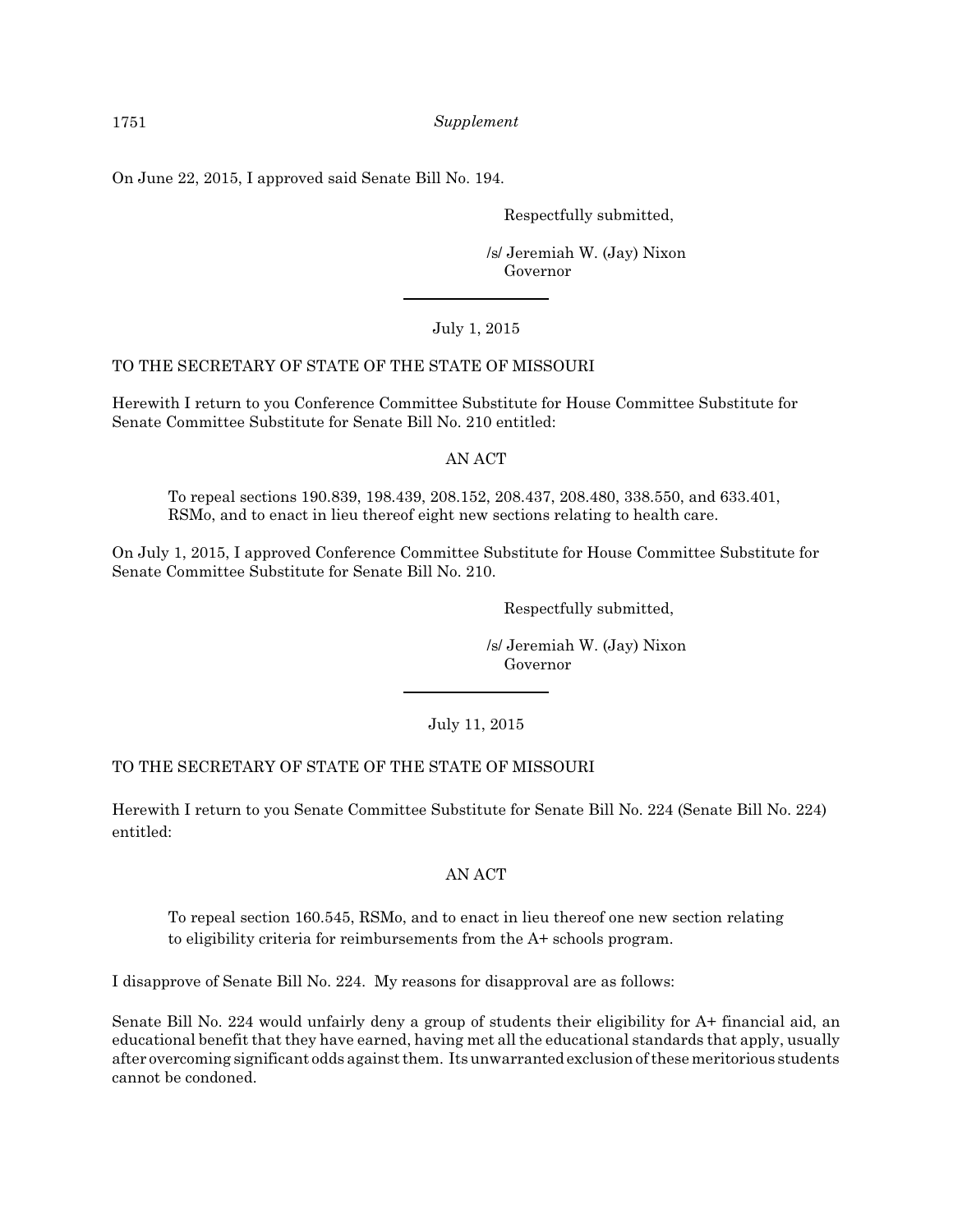On June 22, 2015, I approved said Senate Bill No. 194.

Respectfully submitted,

 /s/ Jeremiah W. (Jay) Nixon Governor

## July 1, 2015

## TO THE SECRETARY OF STATE OF THE STATE OF MISSOURI

Herewith I return to you Conference Committee Substitute for House Committee Substitute for Senate Committee Substitute for Senate Bill No. 210 entitled:

#### AN ACT

To repeal sections 190.839, 198.439, 208.152, 208.437, 208.480, 338.550, and 633.401, RSMo, and to enact in lieu thereof eight new sections relating to health care.

On July 1, 2015, I approved Conference Committee Substitute for House Committee Substitute for Senate Committee Substitute for Senate Bill No. 210.

Respectfully submitted,

 /s/ Jeremiah W. (Jay) Nixon Governor

#### July 11, 2015

## TO THE SECRETARY OF STATE OF THE STATE OF MISSOURI

Herewith I return to you Senate Committee Substitute for Senate Bill No. 224 (Senate Bill No. 224) entitled:

#### AN ACT

To repeal section 160.545, RSMo, and to enact in lieu thereof one new section relating to eligibility criteria for reimbursements from the A+ schools program.

I disapprove of Senate Bill No. 224. My reasons for disapproval are as follows:

Senate Bill No. 224 would unfairly deny a group of students their eligibility for A+ financial aid, an educational benefit that they have earned, having met all the educational standards that apply, usually after overcoming significant odds against them. Itsunwarranted exclusion of these meritorious students cannot be condoned.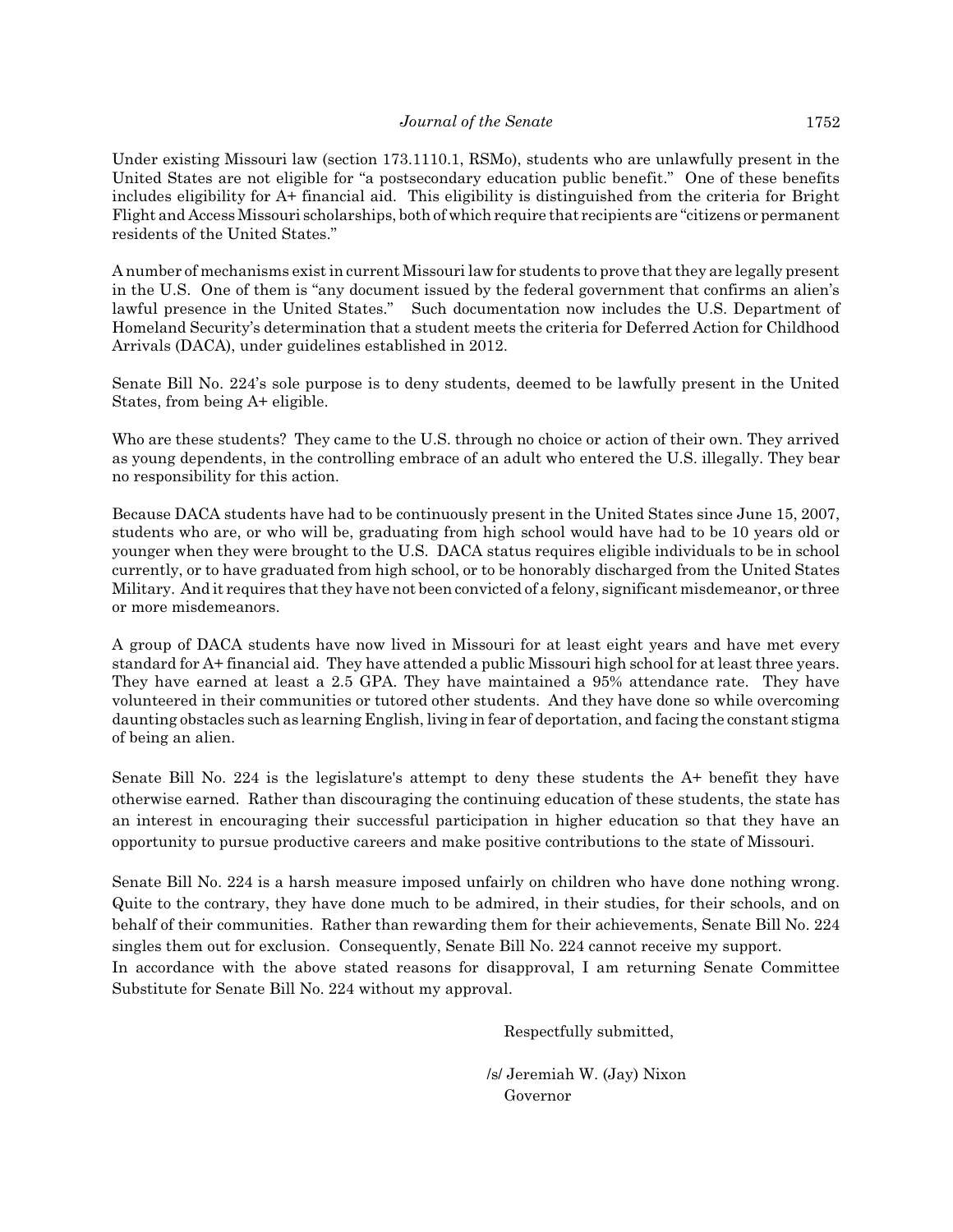Under existing Missouri law (section 173.1110.1, RSMo), students who are unlawfully present in the United States are not eligible for "a postsecondary education public benefit." One of these benefits includes eligibility for A+ financial aid. This eligibility is distinguished from the criteria for Bright Flight and Access Missouri scholarships, both of which require that recipients are "citizens or permanent residents of the United States."

A number of mechanisms exist in current Missouri law for students to prove that they are legally present in the U.S. One of them is "any document issued by the federal government that confirms an alien's lawful presence in the United States." Such documentation now includes the U.S. Department of Homeland Security's determination that a student meets the criteria for Deferred Action for Childhood Arrivals (DACA), under guidelines established in 2012.

Senate Bill No. 224's sole purpose is to deny students, deemed to be lawfully present in the United States, from being A+ eligible.

Who are these students? They came to the U.S. through no choice or action of their own. They arrived as young dependents, in the controlling embrace of an adult who entered the U.S. illegally. They bear no responsibility for this action.

Because DACA students have had to be continuously present in the United States since June 15, 2007, students who are, or who will be, graduating from high school would have had to be 10 years old or younger when they were brought to the U.S. DACA status requires eligible individuals to be in school currently, or to have graduated from high school, or to be honorably discharged from the United States Military. And it requires that they have not been convicted of a felony, significant misdemeanor, or three or more misdemeanors.

A group of DACA students have now lived in Missouri for at least eight years and have met every standard for A+ financial aid. They have attended a public Missouri high school for at least three years. They have earned at least a 2.5 GPA. They have maintained a 95% attendance rate. They have volunteered in their communities or tutored other students. And they have done so while overcoming daunting obstacles such as learning English, living in fear of deportation, and facing the constant stigma of being an alien.

Senate Bill No. 224 is the legislature's attempt to deny these students the A+ benefit they have otherwise earned. Rather than discouraging the continuing education of these students, the state has an interest in encouraging their successful participation in higher education so that they have an opportunity to pursue productive careers and make positive contributions to the state of Missouri.

Senate Bill No. 224 is a harsh measure imposed unfairly on children who have done nothing wrong. Quite to the contrary, they have done much to be admired, in their studies, for their schools, and on behalf of their communities. Rather than rewarding them for their achievements, Senate Bill No. 224 singles them out for exclusion. Consequently, Senate Bill No. 224 cannot receive my support. In accordance with the above stated reasons for disapproval, I am returning Senate Committee Substitute for Senate Bill No. 224 without my approval.

Respectfully submitted,

 /s/ Jeremiah W. (Jay) Nixon Governor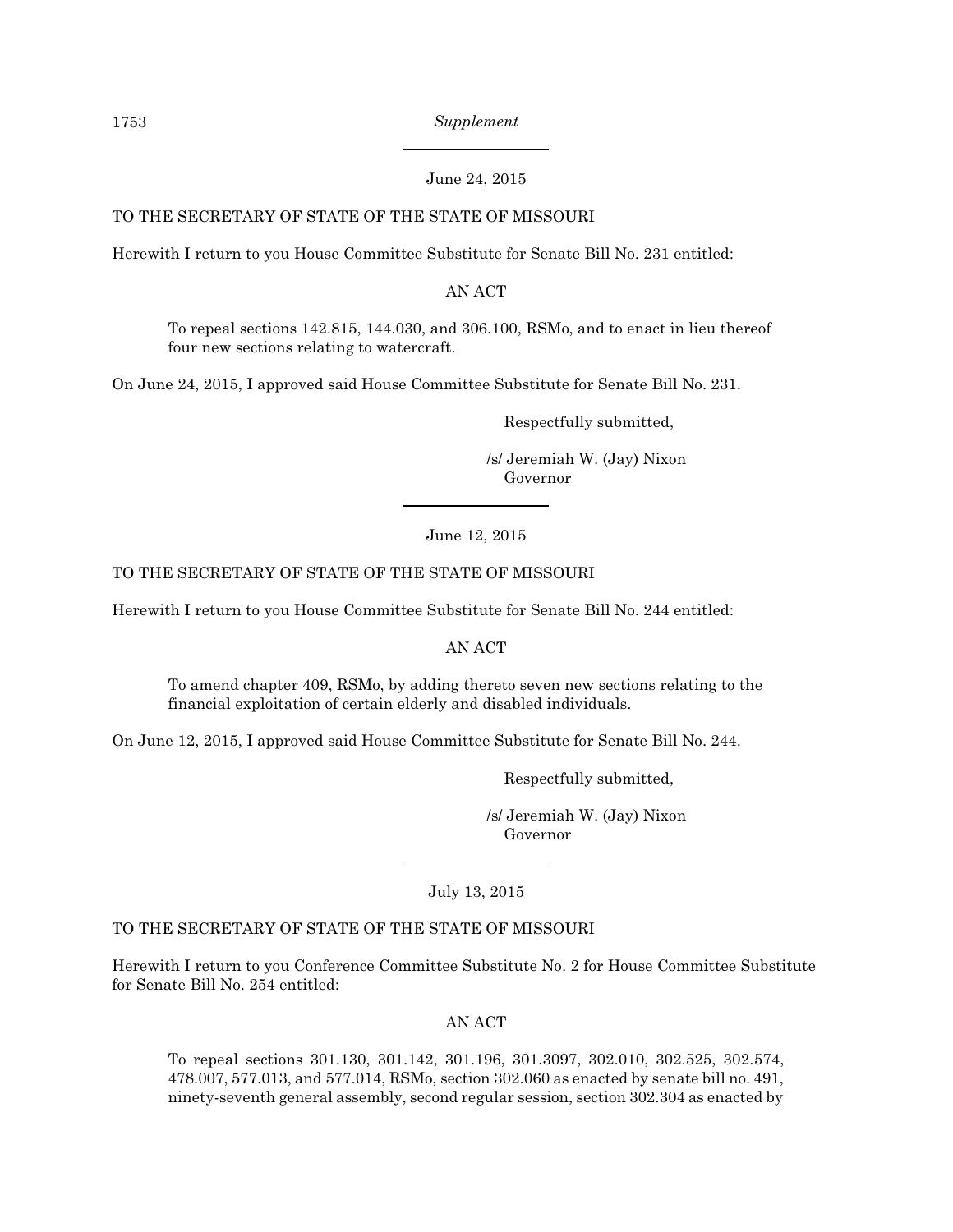### June 24, 2015

## TO THE SECRETARY OF STATE OF THE STATE OF MISSOURI

Herewith I return to you House Committee Substitute for Senate Bill No. 231 entitled:

AN ACT

To repeal sections 142.815, 144.030, and 306.100, RSMo, and to enact in lieu thereof four new sections relating to watercraft.

On June 24, 2015, I approved said House Committee Substitute for Senate Bill No. 231.

Respectfully submitted,

 /s/ Jeremiah W. (Jay) Nixon Governor

## June 12, 2015

## TO THE SECRETARY OF STATE OF THE STATE OF MISSOURI

Herewith I return to you House Committee Substitute for Senate Bill No. 244 entitled:

AN ACT

To amend chapter 409, RSMo, by adding thereto seven new sections relating to the financial exploitation of certain elderly and disabled individuals.

On June 12, 2015, I approved said House Committee Substitute for Senate Bill No. 244.

Respectfully submitted,

 /s/ Jeremiah W. (Jay) Nixon Governor

July 13, 2015

#### TO THE SECRETARY OF STATE OF THE STATE OF MISSOURI

Herewith I return to you Conference Committee Substitute No. 2 for House Committee Substitute for Senate Bill No. 254 entitled:

#### AN ACT

To repeal sections 301.130, 301.142, 301.196, 301.3097, 302.010, 302.525, 302.574, 478.007, 577.013, and 577.014, RSMo, section 302.060 as enacted by senate bill no. 491, ninety-seventh general assembly, second regular session, section 302.304 as enacted by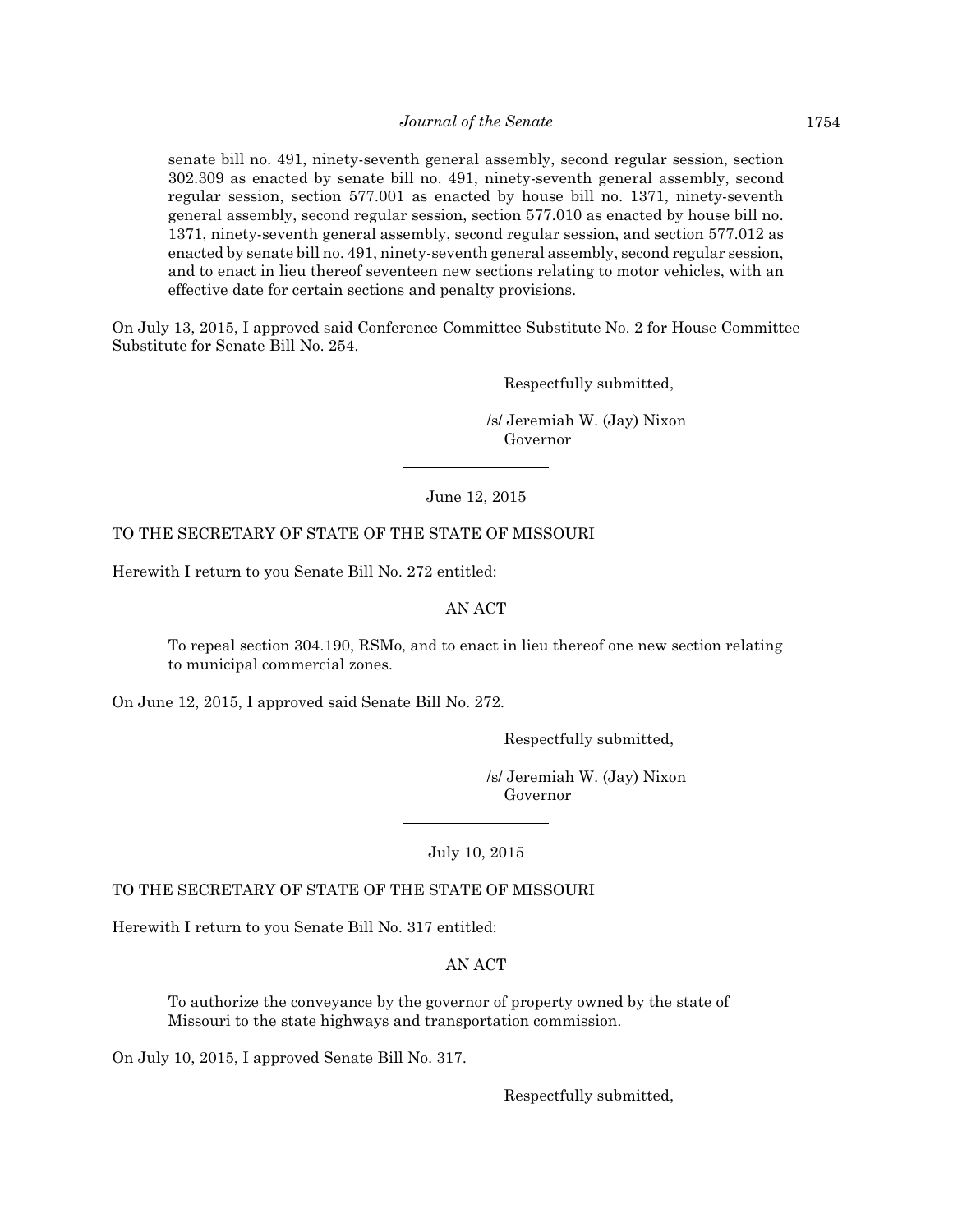senate bill no. 491, ninety-seventh general assembly, second regular session, section 302.309 as enacted by senate bill no. 491, ninety-seventh general assembly, second regular session, section 577.001 as enacted by house bill no. 1371, ninety-seventh general assembly, second regular session, section 577.010 as enacted by house bill no. 1371, ninety-seventh general assembly, second regular session, and section 577.012 as enacted by senate bill no. 491, ninety-seventh general assembly, second regular session, and to enact in lieu thereof seventeen new sections relating to motor vehicles, with an effective date for certain sections and penalty provisions.

On July 13, 2015, I approved said Conference Committee Substitute No. 2 for House Committee Substitute for Senate Bill No. 254.

Respectfully submitted,

 /s/ Jeremiah W. (Jay) Nixon Governor

June 12, 2015

## TO THE SECRETARY OF STATE OF THE STATE OF MISSOURI

Herewith I return to you Senate Bill No. 272 entitled:

#### AN ACT

To repeal section 304.190, RSMo, and to enact in lieu thereof one new section relating to municipal commercial zones.

On June 12, 2015, I approved said Senate Bill No. 272.

Respectfully submitted,

 /s/ Jeremiah W. (Jay) Nixon Governor

July 10, 2015

TO THE SECRETARY OF STATE OF THE STATE OF MISSOURI

Herewith I return to you Senate Bill No. 317 entitled:

AN ACT

To authorize the conveyance by the governor of property owned by the state of Missouri to the state highways and transportation commission.

On July 10, 2015, I approved Senate Bill No. 317.

Respectfully submitted,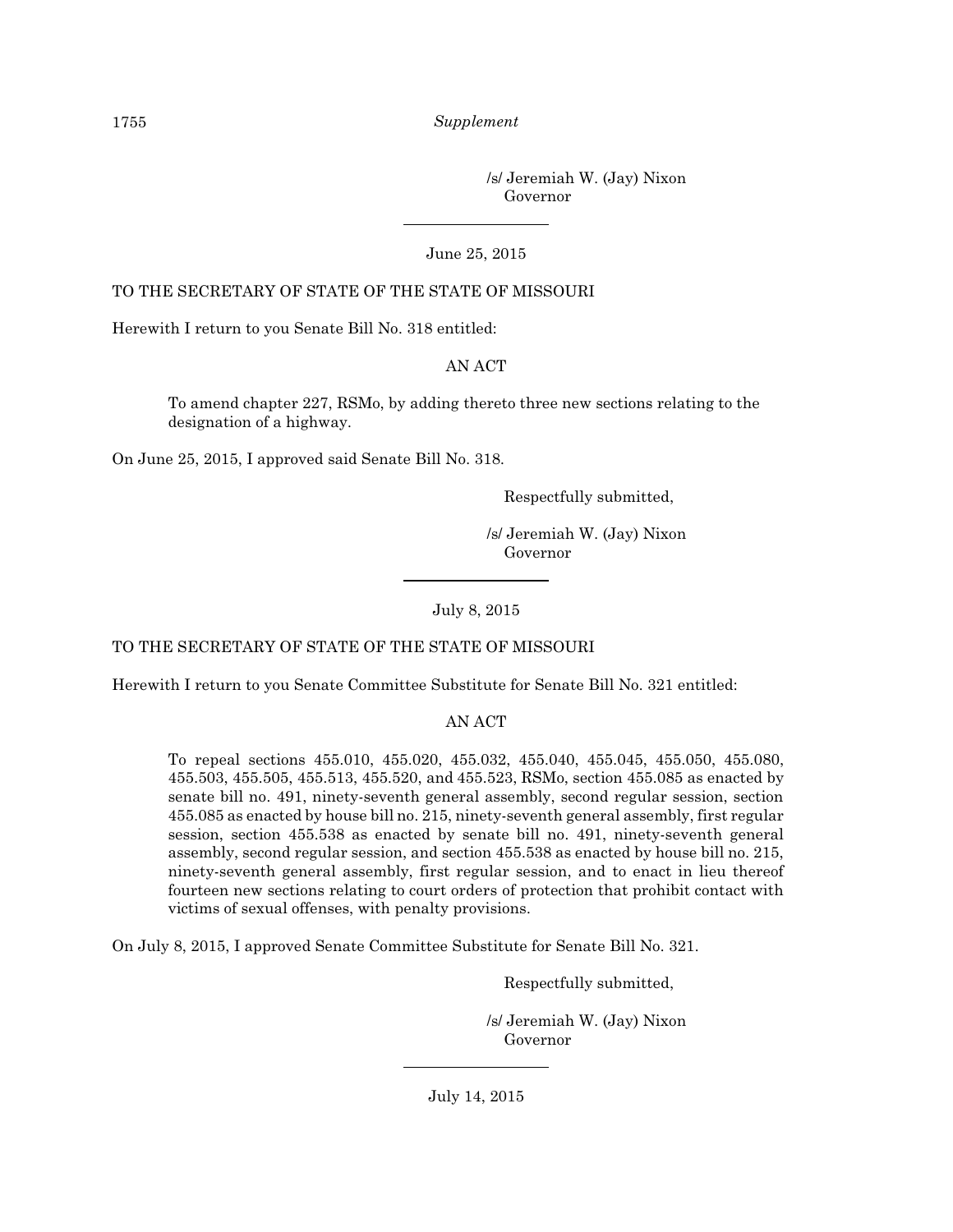/s/ Jeremiah W. (Jay) Nixon Governor

#### June 25, 2015

#### TO THE SECRETARY OF STATE OF THE STATE OF MISSOURI

Herewith I return to you Senate Bill No. 318 entitled:

#### AN ACT

To amend chapter 227, RSMo, by adding thereto three new sections relating to the designation of a highway.

On June 25, 2015, I approved said Senate Bill No. 318.

Respectfully submitted,

 /s/ Jeremiah W. (Jay) Nixon Governor

July 8, 2015

#### TO THE SECRETARY OF STATE OF THE STATE OF MISSOURI

Herewith I return to you Senate Committee Substitute for Senate Bill No. 321 entitled:

#### AN ACT

To repeal sections 455.010, 455.020, 455.032, 455.040, 455.045, 455.050, 455.080, 455.503, 455.505, 455.513, 455.520, and 455.523, RSMo, section 455.085 as enacted by senate bill no. 491, ninety-seventh general assembly, second regular session, section 455.085 as enacted by house bill no. 215, ninety-seventh general assembly, first regular session, section 455.538 as enacted by senate bill no. 491, ninety-seventh general assembly, second regular session, and section 455.538 as enacted by house bill no. 215, ninety-seventh general assembly, first regular session, and to enact in lieu thereof fourteen new sections relating to court orders of protection that prohibit contact with victims of sexual offenses, with penalty provisions.

On July 8, 2015, I approved Senate Committee Substitute for Senate Bill No. 321.

Respectfully submitted,

 /s/ Jeremiah W. (Jay) Nixon Governor

July 14, 2015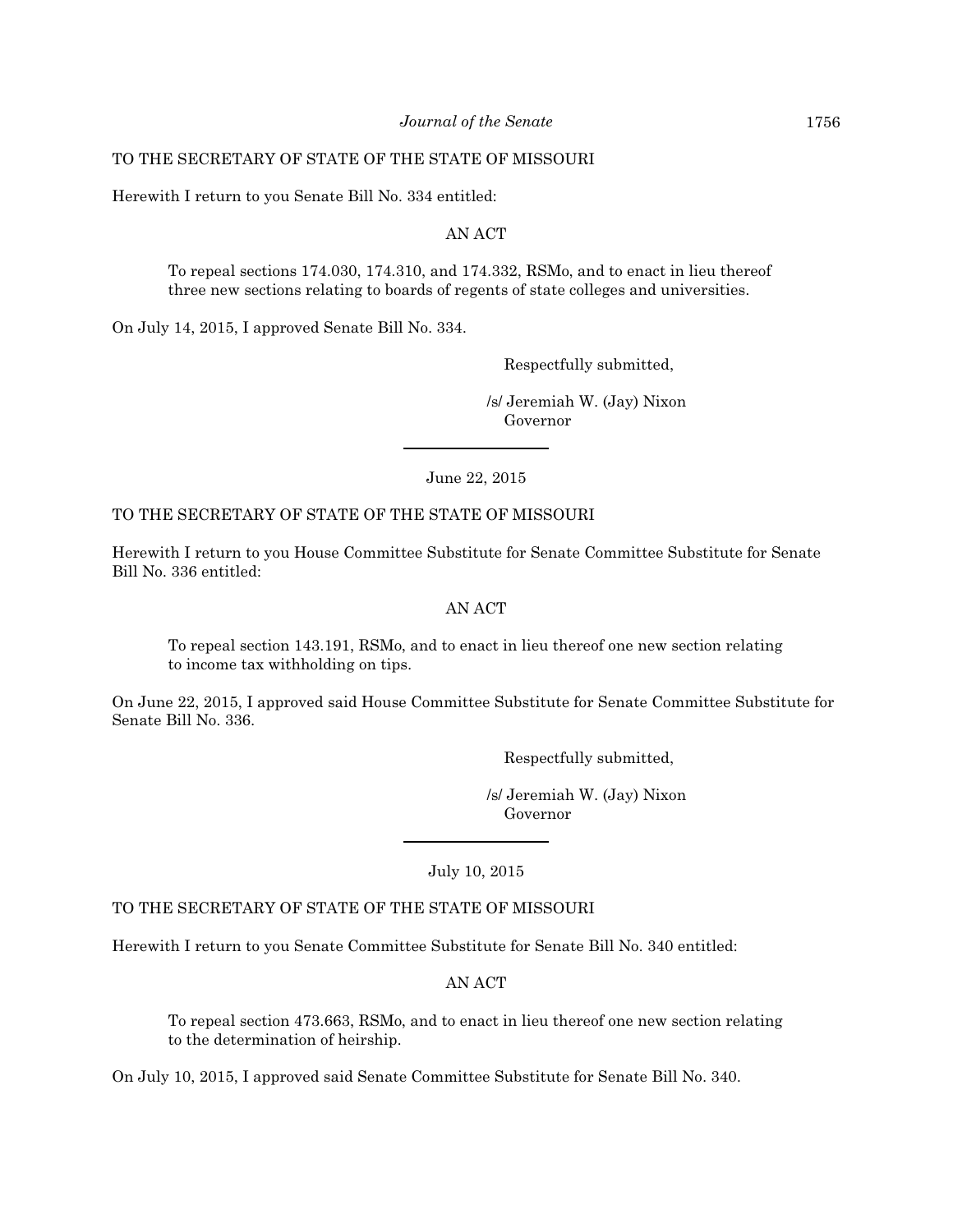### TO THE SECRETARY OF STATE OF THE STATE OF MISSOURI

Herewith I return to you Senate Bill No. 334 entitled:

#### AN ACT

To repeal sections 174.030, 174.310, and 174.332, RSMo, and to enact in lieu thereof three new sections relating to boards of regents of state colleges and universities.

On July 14, 2015, I approved Senate Bill No. 334.

Respectfully submitted,

 /s/ Jeremiah W. (Jay) Nixon Governor

June 22, 2015

## TO THE SECRETARY OF STATE OF THE STATE OF MISSOURI

Herewith I return to you House Committee Substitute for Senate Committee Substitute for Senate Bill No. 336 entitled:

#### AN ACT

To repeal section 143.191, RSMo, and to enact in lieu thereof one new section relating to income tax withholding on tips.

On June 22, 2015, I approved said House Committee Substitute for Senate Committee Substitute for Senate Bill No. 336.

Respectfully submitted,

 /s/ Jeremiah W. (Jay) Nixon Governor

July 10, 2015

## TO THE SECRETARY OF STATE OF THE STATE OF MISSOURI

Herewith I return to you Senate Committee Substitute for Senate Bill No. 340 entitled:

## AN ACT

To repeal section 473.663, RSMo, and to enact in lieu thereof one new section relating to the determination of heirship.

On July 10, 2015, I approved said Senate Committee Substitute for Senate Bill No. 340.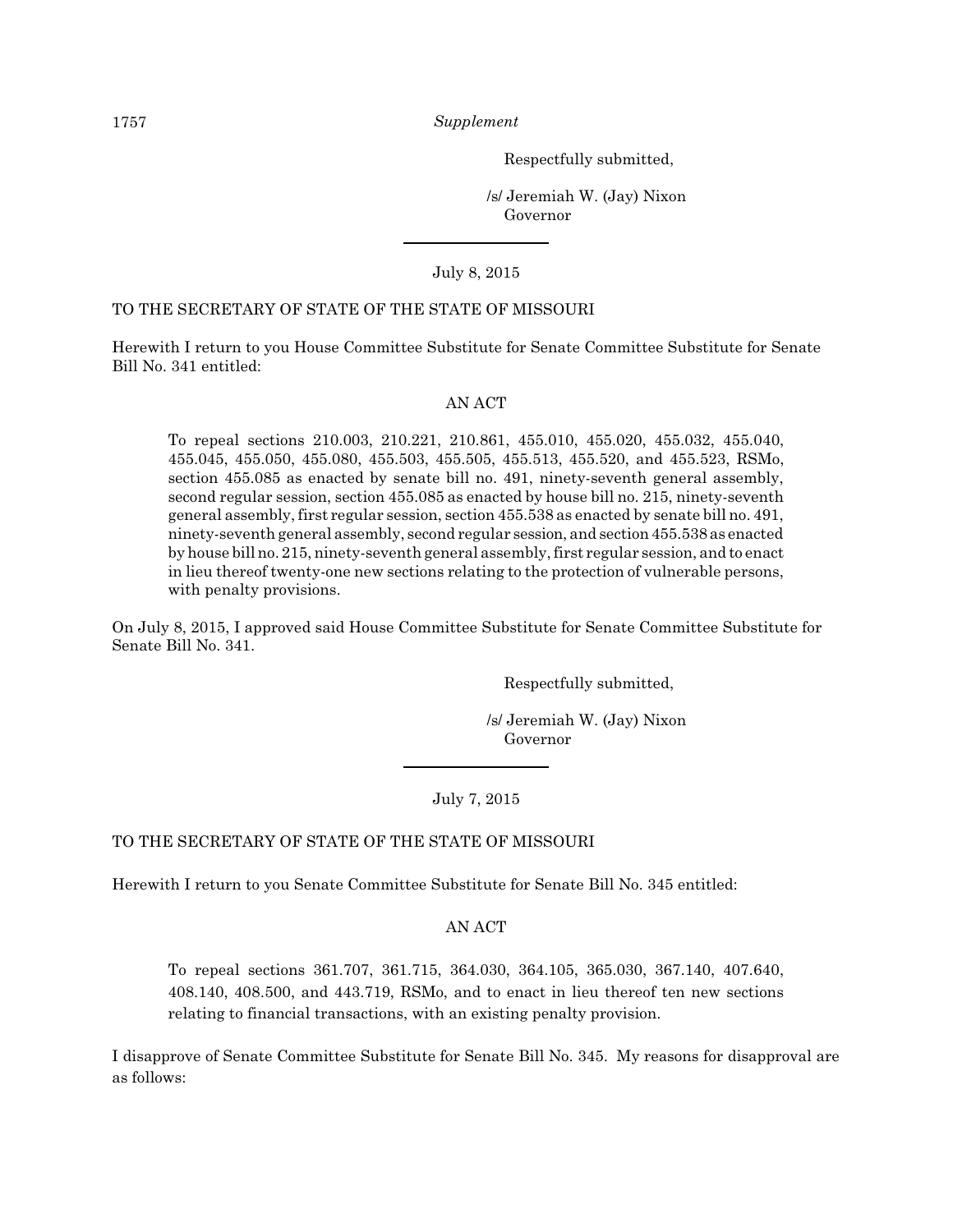Respectfully submitted,

 /s/ Jeremiah W. (Jay) Nixon Governor

July 8, 2015

#### TO THE SECRETARY OF STATE OF THE STATE OF MISSOURI

Herewith I return to you House Committee Substitute for Senate Committee Substitute for Senate Bill No. 341 entitled:

#### AN ACT

To repeal sections 210.003, 210.221, 210.861, 455.010, 455.020, 455.032, 455.040, 455.045, 455.050, 455.080, 455.503, 455.505, 455.513, 455.520, and 455.523, RSMo, section 455.085 as enacted by senate bill no. 491, ninety-seventh general assembly, second regular session, section 455.085 as enacted by house bill no. 215, ninety-seventh general assembly, first regular session, section 455.538 as enacted by senate bill no. 491, ninety-seventh general assembly, second regular session, and section 455.538 as enacted by house bill no. 215, ninety-seventh general assembly, first regular session, and to enact in lieu thereof twenty-one new sections relating to the protection of vulnerable persons, with penalty provisions.

On July 8, 2015, I approved said House Committee Substitute for Senate Committee Substitute for Senate Bill No. 341.

Respectfully submitted,

 /s/ Jeremiah W. (Jay) Nixon Governor

July 7, 2015

#### TO THE SECRETARY OF STATE OF THE STATE OF MISSOURI

Herewith I return to you Senate Committee Substitute for Senate Bill No. 345 entitled:

#### AN ACT

To repeal sections 361.707, 361.715, 364.030, 364.105, 365.030, 367.140, 407.640, 408.140, 408.500, and 443.719, RSMo, and to enact in lieu thereof ten new sections relating to financial transactions, with an existing penalty provision.

I disapprove of Senate Committee Substitute for Senate Bill No. 345. My reasons for disapproval are as follows: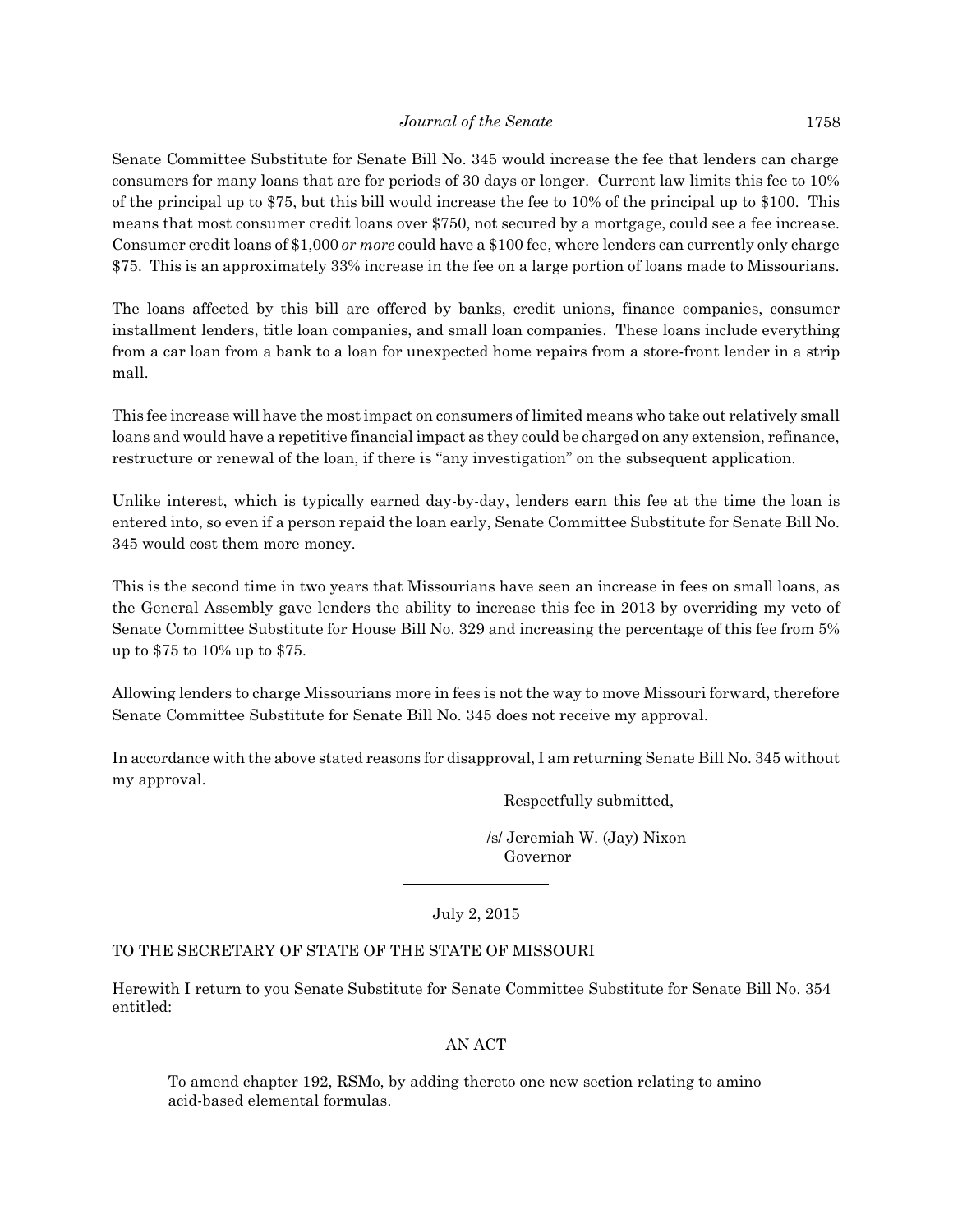Senate Committee Substitute for Senate Bill No. 345 would increase the fee that lenders can charge consumers for many loans that are for periods of 30 days or longer. Current law limits this fee to 10% of the principal up to \$75, but this bill would increase the fee to 10% of the principal up to \$100. This means that most consumer credit loans over \$750, not secured by a mortgage, could see a fee increase. Consumer credit loans of \$1,000 *or more* could have a \$100 fee, where lenders can currently only charge \$75. This is an approximately 33% increase in the fee on a large portion of loans made to Missourians.

The loans affected by this bill are offered by banks, credit unions, finance companies, consumer installment lenders, title loan companies, and small loan companies. These loans include everything from a car loan from a bank to a loan for unexpected home repairs from a store-front lender in a strip mall.

This fee increase will have the most impact on consumers of limited means who take out relatively small loans and would have a repetitive financial impact as they could be charged on any extension, refinance, restructure or renewal of the loan, if there is "any investigation" on the subsequent application.

Unlike interest, which is typically earned day-by-day, lenders earn this fee at the time the loan is entered into, so even if a person repaid the loan early, Senate Committee Substitute for Senate Bill No. 345 would cost them more money.

This is the second time in two years that Missourians have seen an increase in fees on small loans, as the General Assembly gave lenders the ability to increase this fee in 2013 by overriding my veto of Senate Committee Substitute for House Bill No. 329 and increasing the percentage of this fee from 5% up to \$75 to 10% up to \$75.

Allowing lenders to charge Missourians more in fees is not the way to move Missouri forward, therefore Senate Committee Substitute for Senate Bill No. 345 does not receive my approval.

In accordance with the above stated reasons for disapproval, I am returning Senate Bill No. 345 without my approval.

Respectfully submitted,

 /s/ Jeremiah W. (Jay) Nixon Governor

July 2, 2015

## TO THE SECRETARY OF STATE OF THE STATE OF MISSOURI

Herewith I return to you Senate Substitute for Senate Committee Substitute for Senate Bill No. 354 entitled:

## AN ACT

To amend chapter 192, RSMo, by adding thereto one new section relating to amino acid-based elemental formulas.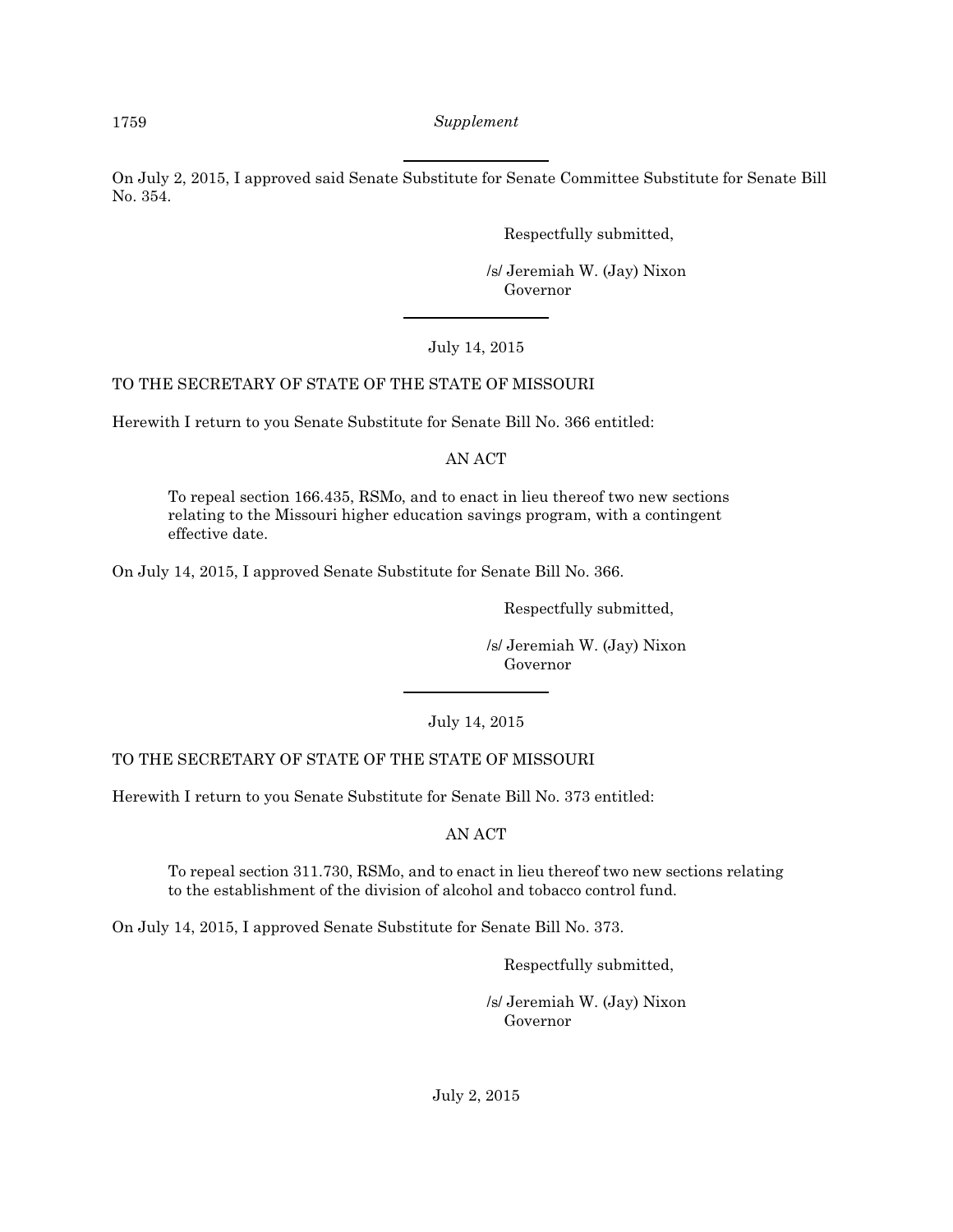On July 2, 2015, I approved said Senate Substitute for Senate Committee Substitute for Senate Bill No. 354.

Respectfully submitted,

 /s/ Jeremiah W. (Jay) Nixon Governor

## July 14, 2015

## TO THE SECRETARY OF STATE OF THE STATE OF MISSOURI

Herewith I return to you Senate Substitute for Senate Bill No. 366 entitled:

## AN ACT

To repeal section 166.435, RSMo, and to enact in lieu thereof two new sections relating to the Missouri higher education savings program, with a contingent effective date.

On July 14, 2015, I approved Senate Substitute for Senate Bill No. 366.

Respectfully submitted,

 /s/ Jeremiah W. (Jay) Nixon Governor

July 14, 2015

## TO THE SECRETARY OF STATE OF THE STATE OF MISSOURI

Herewith I return to you Senate Substitute for Senate Bill No. 373 entitled:

AN ACT

To repeal section 311.730, RSMo, and to enact in lieu thereof two new sections relating to the establishment of the division of alcohol and tobacco control fund.

On July 14, 2015, I approved Senate Substitute for Senate Bill No. 373.

Respectfully submitted,

 /s/ Jeremiah W. (Jay) Nixon Governor

July 2, 2015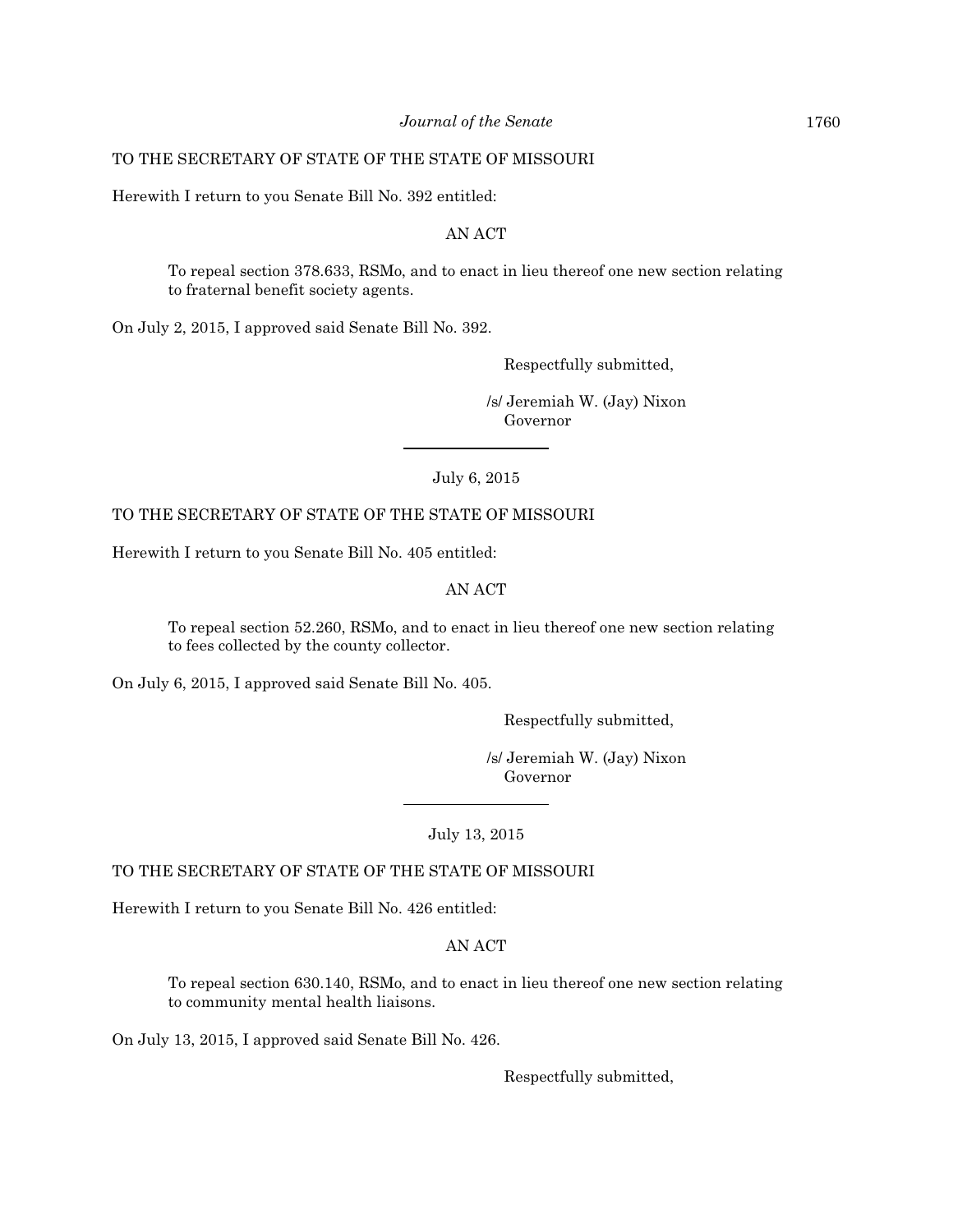#### TO THE SECRETARY OF STATE OF THE STATE OF MISSOURI

Herewith I return to you Senate Bill No. 392 entitled:

#### AN ACT

To repeal section 378.633, RSMo, and to enact in lieu thereof one new section relating to fraternal benefit society agents.

On July 2, 2015, I approved said Senate Bill No. 392.

Respectfully submitted,

 /s/ Jeremiah W. (Jay) Nixon Governor

July 6, 2015

## TO THE SECRETARY OF STATE OF THE STATE OF MISSOURI

Herewith I return to you Senate Bill No. 405 entitled:

## AN ACT

To repeal section 52.260, RSMo, and to enact in lieu thereof one new section relating to fees collected by the county collector.

On July 6, 2015, I approved said Senate Bill No. 405.

Respectfully submitted,

 /s/ Jeremiah W. (Jay) Nixon Governor

July 13, 2015

## TO THE SECRETARY OF STATE OF THE STATE OF MISSOURI

Herewith I return to you Senate Bill No. 426 entitled:

AN ACT

To repeal section 630.140, RSMo, and to enact in lieu thereof one new section relating to community mental health liaisons.

On July 13, 2015, I approved said Senate Bill No. 426.

Respectfully submitted,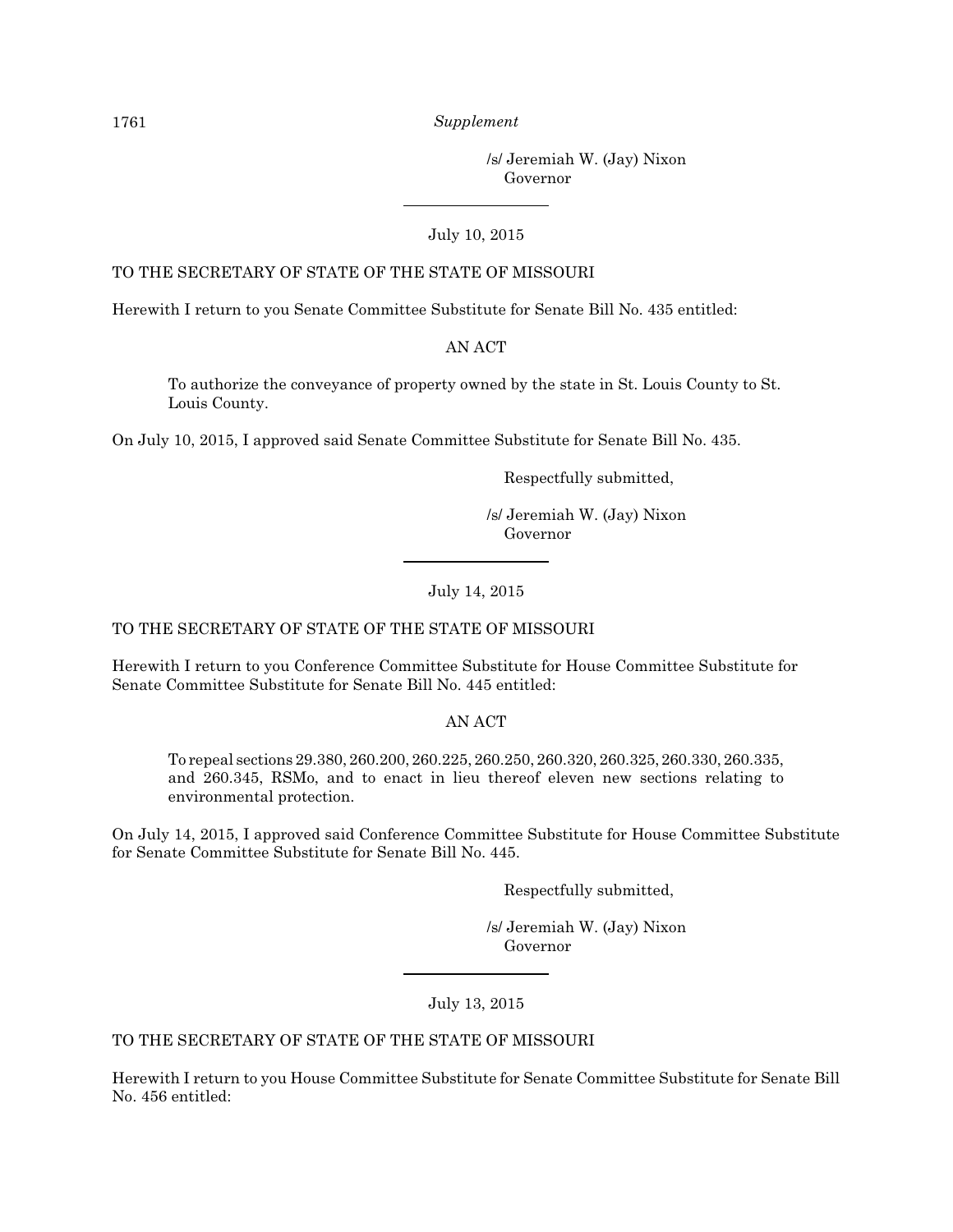/s/ Jeremiah W. (Jay) Nixon Governor

#### July 10, 2015

#### TO THE SECRETARY OF STATE OF THE STATE OF MISSOURI

Herewith I return to you Senate Committee Substitute for Senate Bill No. 435 entitled:

#### AN ACT

To authorize the conveyance of property owned by the state in St. Louis County to St. Louis County.

On July 10, 2015, I approved said Senate Committee Substitute for Senate Bill No. 435.

Respectfully submitted,

 /s/ Jeremiah W. (Jay) Nixon Governor

#### July 14, 2015

#### TO THE SECRETARY OF STATE OF THE STATE OF MISSOURI

Herewith I return to you Conference Committee Substitute for House Committee Substitute for Senate Committee Substitute for Senate Bill No. 445 entitled:

AN ACT

To repeal sections 29.380, 260.200, 260.225, 260.250, 260.320, 260.325, 260.330, 260.335, and 260.345, RSMo, and to enact in lieu thereof eleven new sections relating to environmental protection.

On July 14, 2015, I approved said Conference Committee Substitute for House Committee Substitute for Senate Committee Substitute for Senate Bill No. 445.

Respectfully submitted,

 /s/ Jeremiah W. (Jay) Nixon Governor

July 13, 2015

## TO THE SECRETARY OF STATE OF THE STATE OF MISSOURI

Herewith I return to you House Committee Substitute for Senate Committee Substitute for Senate Bill No. 456 entitled: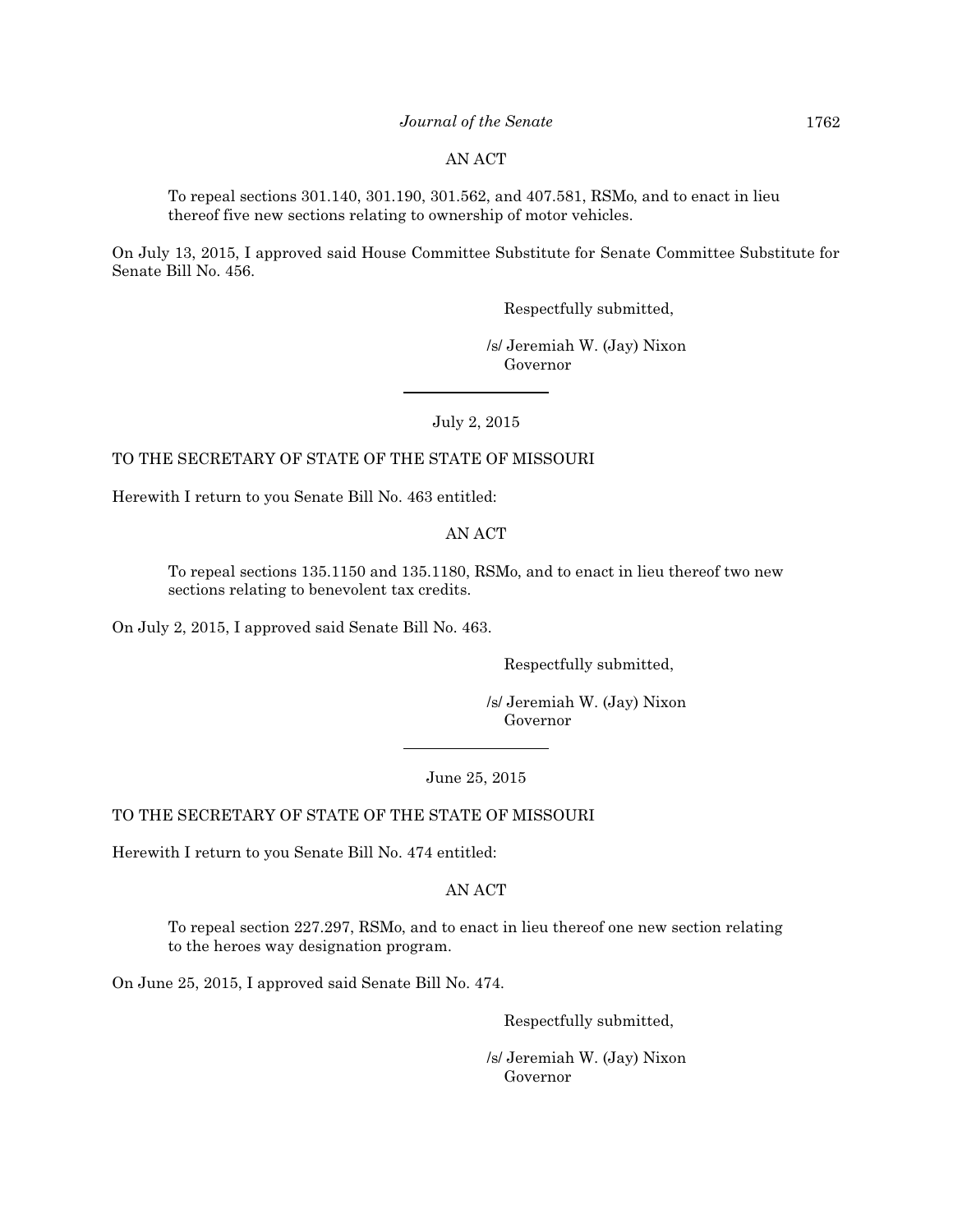#### *Journal of the Senate* 1762

#### AN ACT

To repeal sections 301.140, 301.190, 301.562, and 407.581, RSMo, and to enact in lieu thereof five new sections relating to ownership of motor vehicles.

On July 13, 2015, I approved said House Committee Substitute for Senate Committee Substitute for Senate Bill No. 456.

Respectfully submitted,

 /s/ Jeremiah W. (Jay) Nixon Governor

July 2, 2015

#### TO THE SECRETARY OF STATE OF THE STATE OF MISSOURI

Herewith I return to you Senate Bill No. 463 entitled:

#### AN ACT

To repeal sections 135.1150 and 135.1180, RSMo, and to enact in lieu thereof two new sections relating to benevolent tax credits.

On July 2, 2015, I approved said Senate Bill No. 463.

Respectfully submitted,

 /s/ Jeremiah W. (Jay) Nixon Governor

#### June 25, 2015

## TO THE SECRETARY OF STATE OF THE STATE OF MISSOURI

Herewith I return to you Senate Bill No. 474 entitled:

#### AN ACT

To repeal section 227.297, RSMo, and to enact in lieu thereof one new section relating to the heroes way designation program.

On June 25, 2015, I approved said Senate Bill No. 474.

Respectfully submitted,

 /s/ Jeremiah W. (Jay) Nixon Governor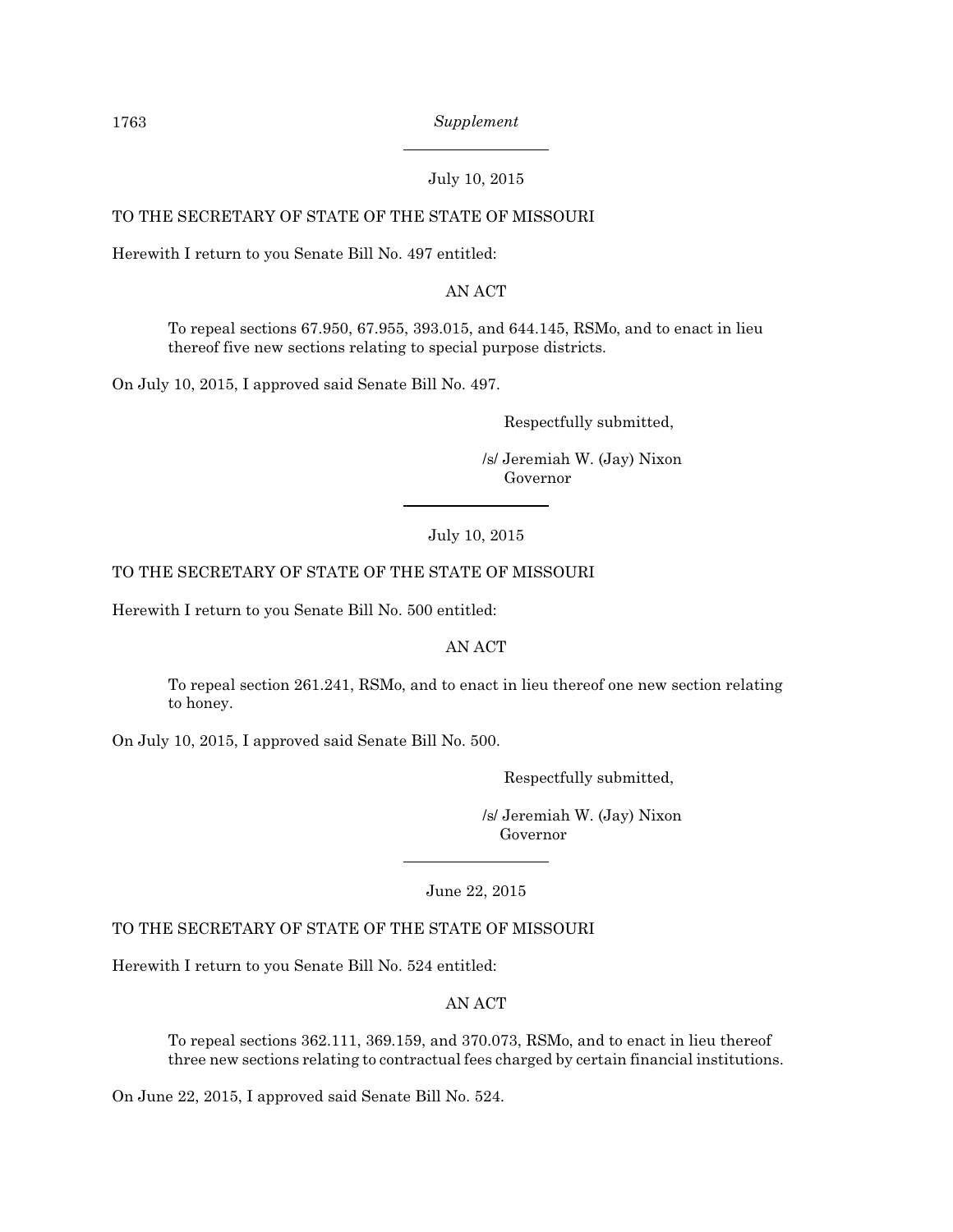July 10, 2015

## TO THE SECRETARY OF STATE OF THE STATE OF MISSOURI

Herewith I return to you Senate Bill No. 497 entitled:

AN ACT

To repeal sections 67.950, 67.955, 393.015, and 644.145, RSMo, and to enact in lieu thereof five new sections relating to special purpose districts.

On July 10, 2015, I approved said Senate Bill No. 497.

Respectfully submitted,

 /s/ Jeremiah W. (Jay) Nixon Governor

July 10, 2015

## TO THE SECRETARY OF STATE OF THE STATE OF MISSOURI

Herewith I return to you Senate Bill No. 500 entitled:

AN ACT

To repeal section 261.241, RSMo, and to enact in lieu thereof one new section relating to honey.

On July 10, 2015, I approved said Senate Bill No. 500.

Respectfully submitted,

 /s/ Jeremiah W. (Jay) Nixon Governor

June 22, 2015

#### TO THE SECRETARY OF STATE OF THE STATE OF MISSOURI

Herewith I return to you Senate Bill No. 524 entitled:

AN ACT

To repeal sections 362.111, 369.159, and 370.073, RSMo, and to enact in lieu thereof three new sections relating to contractual fees charged by certain financial institutions.

On June 22, 2015, I approved said Senate Bill No. 524.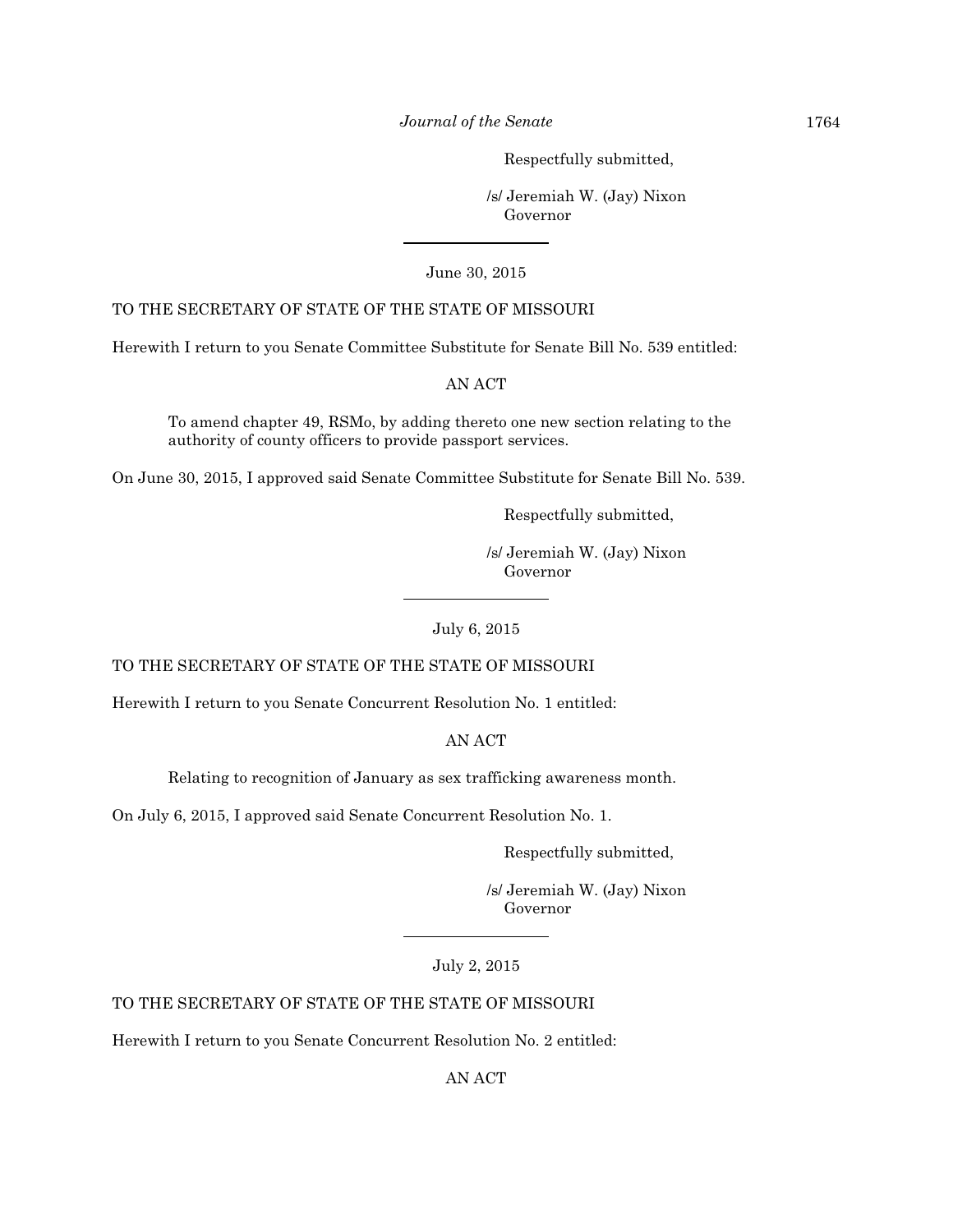*Journal of the Senate* 1764

Respectfully submitted,

 /s/ Jeremiah W. (Jay) Nixon Governor

June 30, 2015

## TO THE SECRETARY OF STATE OF THE STATE OF MISSOURI

Herewith I return to you Senate Committee Substitute for Senate Bill No. 539 entitled:

AN ACT

To amend chapter 49, RSMo, by adding thereto one new section relating to the authority of county officers to provide passport services.

On June 30, 2015, I approved said Senate Committee Substitute for Senate Bill No. 539.

Respectfully submitted,

 /s/ Jeremiah W. (Jay) Nixon Governor

July 6, 2015

TO THE SECRETARY OF STATE OF THE STATE OF MISSOURI

Herewith I return to you Senate Concurrent Resolution No. 1 entitled:

AN ACT

Relating to recognition of January as sex trafficking awareness month.

On July 6, 2015, I approved said Senate Concurrent Resolution No. 1.

Respectfully submitted,

 /s/ Jeremiah W. (Jay) Nixon Governor

July 2, 2015

TO THE SECRETARY OF STATE OF THE STATE OF MISSOURI

Herewith I return to you Senate Concurrent Resolution No. 2 entitled:

AN ACT